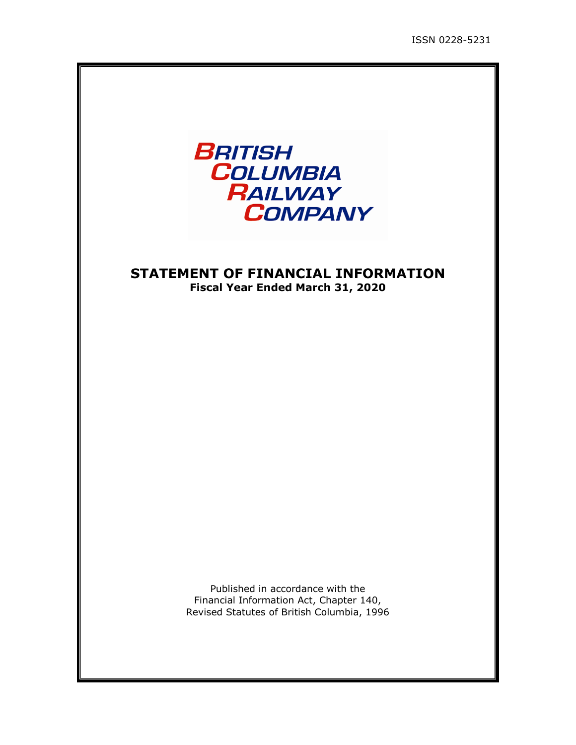

## **STATEMENT OF FINANCIAL INFORMATION Fiscal Year Ended March 31, 2020**

Published in accordance with the Financial Information Act, Chapter 140, Revised Statutes of British Columbia, 1996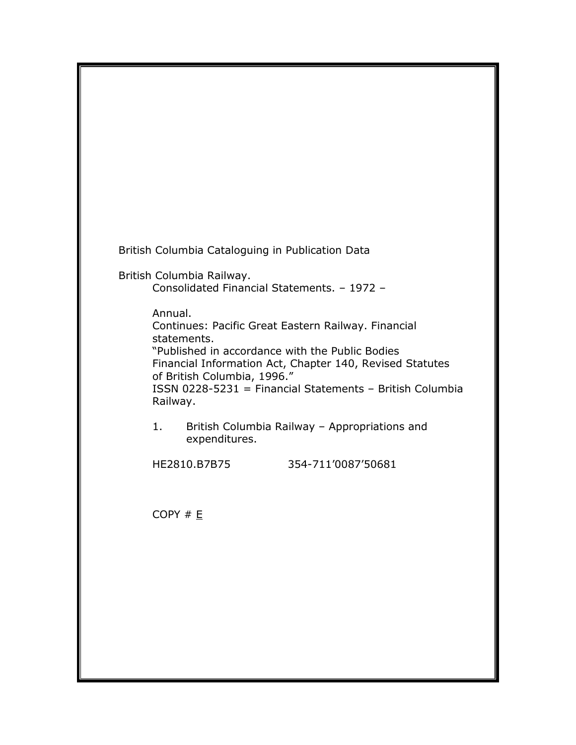British Columbia Cataloguing in Publication Data

British Columbia Railway.

Consolidated Financial Statements. – 1972 –

Annual.

Continues: Pacific Great Eastern Railway. Financial statements.

"Published in accordance with the Public Bodies Financial Information Act, Chapter 140, Revised Statutes of British Columbia, 1996."

ISSN 0228-5231 = Financial Statements – British Columbia Railway.

1. British Columbia Railway – Appropriations and expenditures.

HE2810.B7B75 354-711'0087'50681

COPY # E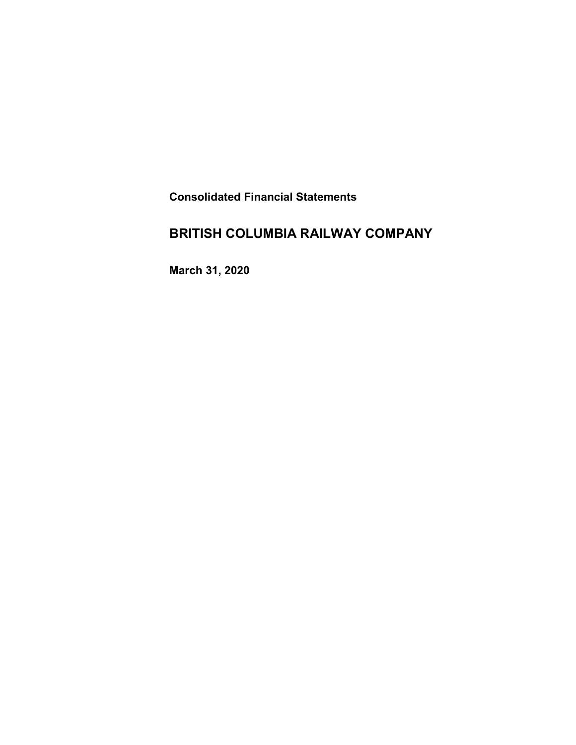**Consolidated Financial Statements** 

# **BRITISH COLUMBIA RAILWAY COMPANY**

**March 31, 2020**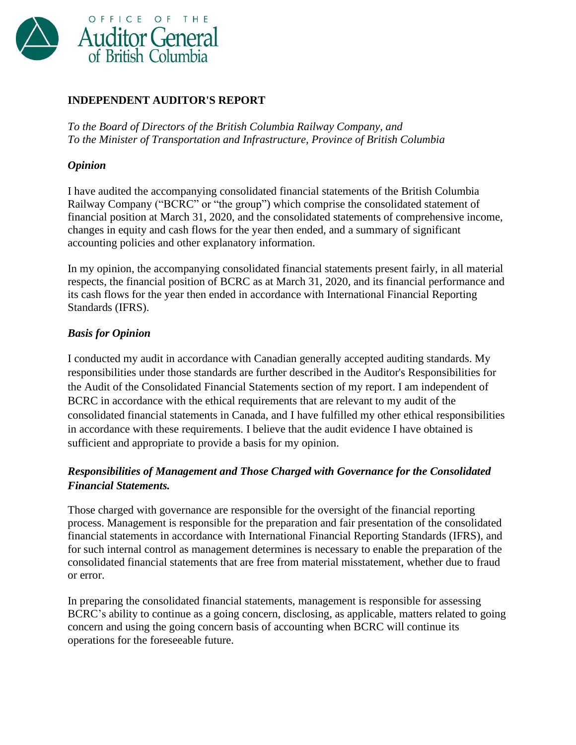![](_page_3_Picture_0.jpeg)

## **INDEPENDENT AUDITOR'S REPORT**

*To the Board of Directors of the British Columbia Railway Company, and To the Minister of Transportation and Infrastructure, Province of British Columbia*

### *Opinion*

I have audited the accompanying consolidated financial statements of the British Columbia Railway Company ("BCRC" or "the group") which comprise the consolidated statement of financial position at March 31, 2020, and the consolidated statements of comprehensive income, changes in equity and cash flows for the year then ended, and a summary of significant accounting policies and other explanatory information.

In my opinion, the accompanying consolidated financial statements present fairly, in all material respects, the financial position of BCRC as at March 31, 2020, and its financial performance and its cash flows for the year then ended in accordance with International Financial Reporting Standards (IFRS).

### *Basis for Opinion*

I conducted my audit in accordance with Canadian generally accepted auditing standards. My responsibilities under those standards are further described in the Auditor's Responsibilities for the Audit of the Consolidated Financial Statements section of my report. I am independent of BCRC in accordance with the ethical requirements that are relevant to my audit of the consolidated financial statements in Canada, and I have fulfilled my other ethical responsibilities in accordance with these requirements. I believe that the audit evidence I have obtained is sufficient and appropriate to provide a basis for my opinion.

## *Responsibilities of Management and Those Charged with Governance for the Consolidated Financial Statements.*

Those charged with governance are responsible for the oversight of the financial reporting process. Management is responsible for the preparation and fair presentation of the consolidated financial statements in accordance with International Financial Reporting Standards (IFRS), and for such internal control as management determines is necessary to enable the preparation of the consolidated financial statements that are free from material misstatement, whether due to fraud or error.

In preparing the consolidated financial statements, management is responsible for assessing BCRC's ability to continue as a going concern, disclosing, as applicable, matters related to going concern and using the going concern basis of accounting when BCRC will continue its operations for the foreseeable future.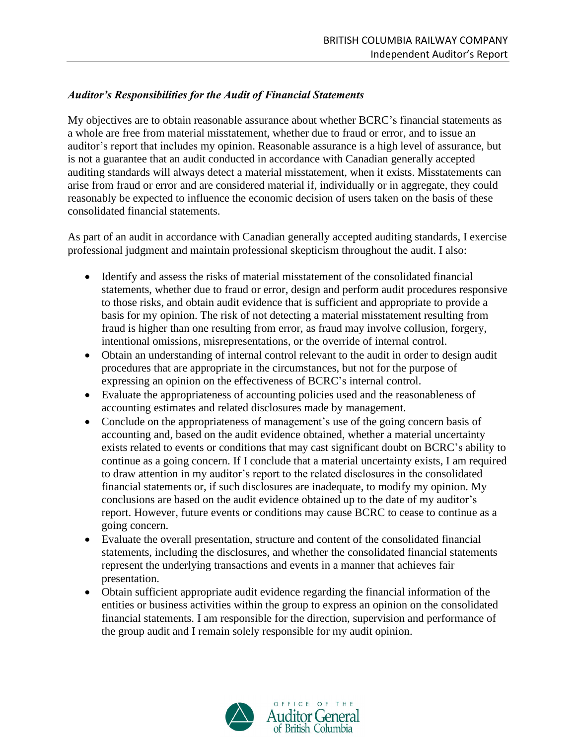## *Auditor's Responsibilities for the Audit of Financial Statements*

My objectives are to obtain reasonable assurance about whether BCRC's financial statements as a whole are free from material misstatement, whether due to fraud or error, and to issue an auditor's report that includes my opinion. Reasonable assurance is a high level of assurance, but is not a guarantee that an audit conducted in accordance with Canadian generally accepted auditing standards will always detect a material misstatement, when it exists. Misstatements can arise from fraud or error and are considered material if, individually or in aggregate, they could reasonably be expected to influence the economic decision of users taken on the basis of these consolidated financial statements.

As part of an audit in accordance with Canadian generally accepted auditing standards, I exercise professional judgment and maintain professional skepticism throughout the audit. I also:

- Identify and assess the risks of material misstatement of the consolidated financial statements, whether due to fraud or error, design and perform audit procedures responsive to those risks, and obtain audit evidence that is sufficient and appropriate to provide a basis for my opinion. The risk of not detecting a material misstatement resulting from fraud is higher than one resulting from error, as fraud may involve collusion, forgery, intentional omissions, misrepresentations, or the override of internal control.
- Obtain an understanding of internal control relevant to the audit in order to design audit procedures that are appropriate in the circumstances, but not for the purpose of expressing an opinion on the effectiveness of BCRC's internal control.
- Evaluate the appropriateness of accounting policies used and the reasonableness of accounting estimates and related disclosures made by management.
- Conclude on the appropriateness of management's use of the going concern basis of accounting and, based on the audit evidence obtained, whether a material uncertainty exists related to events or conditions that may cast significant doubt on BCRC's ability to continue as a going concern. If I conclude that a material uncertainty exists, I am required to draw attention in my auditor's report to the related disclosures in the consolidated financial statements or, if such disclosures are inadequate, to modify my opinion. My conclusions are based on the audit evidence obtained up to the date of my auditor's report. However, future events or conditions may cause BCRC to cease to continue as a going concern.
- Evaluate the overall presentation, structure and content of the consolidated financial statements, including the disclosures, and whether the consolidated financial statements represent the underlying transactions and events in a manner that achieves fair presentation.
- Obtain sufficient appropriate audit evidence regarding the financial information of the entities or business activities within the group to express an opinion on the consolidated financial statements. I am responsible for the direction, supervision and performance of the group audit and I remain solely responsible for my audit opinion.

![](_page_4_Picture_10.jpeg)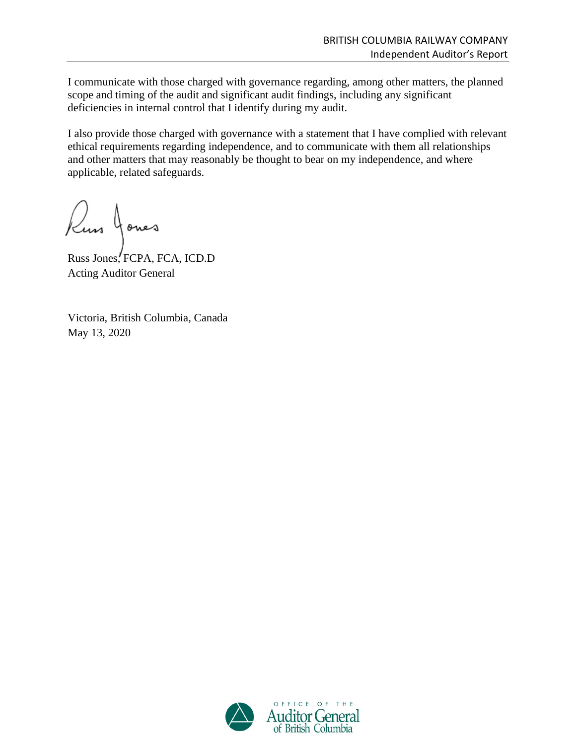I communicate with those charged with governance regarding, among other matters, the planned scope and timing of the audit and significant audit findings, including any significant deficiencies in internal control that I identify during my audit.

I also provide those charged with governance with a statement that I have complied with relevant ethical requirements regarding independence, and to communicate with them all relationships and other matters that may reasonably be thought to bear on my independence, and where applicable, related safeguards.

Russ Jones

Russ Jones, FCPA, FCA, ICD.D Acting Auditor General

Victoria, British Columbia, Canada May 13, 2020

![](_page_5_Picture_6.jpeg)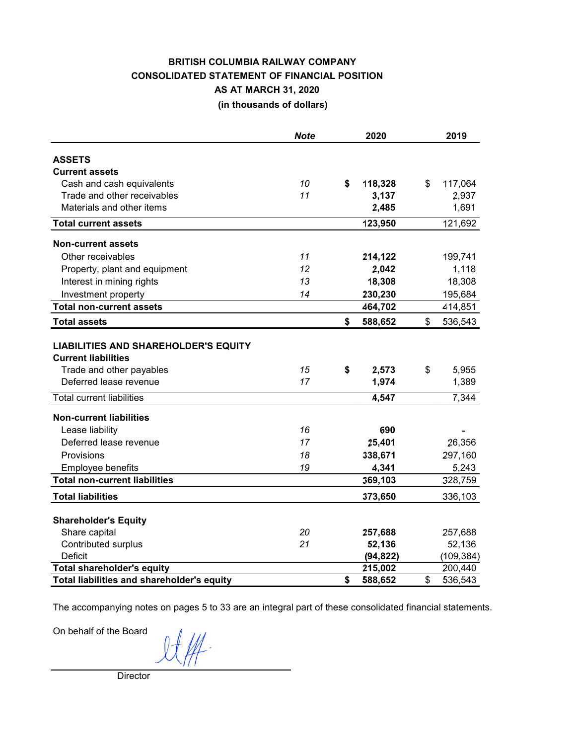#### **BRITISH COLUMBIA RAILWAY COLUMBIA RAILWAY COLUMBIA RAILWAY COLUMBIA RAILWAY COMPANY (in thousands of dollars) BRITISH COLUMBIA RAILWAY COMPANY CONSOLIDATED STATEMENT OF FINANCIAL POSITION AS AT MARCH 31, 2020**

|                                                                                                       | <b>Note</b> | 2020          | 2019          |
|-------------------------------------------------------------------------------------------------------|-------------|---------------|---------------|
| <b>ASSETS</b>                                                                                         |             |               |               |
| <b>Current assets</b>                                                                                 |             |               |               |
| Cash and cash equivalents                                                                             | 10          | \$<br>118,328 | \$<br>117,064 |
| Trade and other receivables                                                                           | 11          | 3,137         | 2,937         |
| Materials and other items                                                                             |             | 2,485         | 1,691         |
| <b>Total current assets</b>                                                                           |             | 123,950       | 121,692       |
| <b>Non-current assets</b>                                                                             |             |               |               |
| Other receivables                                                                                     | 11          | 214,122       | 199,741       |
| Property, plant and equipment                                                                         | 12          | 2,042         | 1,118         |
| Interest in mining rights                                                                             | 13          | 18,308        | 18,308        |
| Investment property                                                                                   | 14          | 230,230       | 195,684       |
| <b>Total non-current assets</b>                                                                       |             | 464,702       | 414,851       |
| <b>Total assets</b>                                                                                   |             | \$<br>588,652 | \$<br>536,543 |
| <b>LIABILITIES AND SHAREHOLDER'S EQUITY</b><br><b>Current liabilities</b><br>Trade and other payables | 15          | \$<br>2,573   | \$<br>5,955   |
| Deferred lease revenue                                                                                | 17          | 1,974         | 1,389         |
| <b>Total current liabilities</b>                                                                      |             | 4,547         | 7,344         |
| <b>Non-current liabilities</b>                                                                        |             |               |               |
| Lease liability                                                                                       | 16          | 690           |               |
| Deferred lease revenue                                                                                | 17          | 25,401        | 26,356        |
| Provisions                                                                                            | 18          | 338,671       | 297,160       |
| Employee benefits                                                                                     | 19          | 4,341         | 5,243         |
| <b>Total non-current liabilities</b>                                                                  |             | 369,103       | 328,759       |
| <b>Total liabilities</b>                                                                              |             | 373,650       | 336,103       |
| <b>Shareholder's Equity</b>                                                                           |             |               |               |
| Share capital                                                                                         | 20          | 257,688       | 257,688       |
| Contributed surplus                                                                                   | 21          | 52,136        | 52,136        |
| <b>Deficit</b>                                                                                        |             | (94, 822)     | (109, 384)    |
| <b>Total shareholder's equity</b>                                                                     |             | 215,002       | 200,440       |
| Total liabilities and shareholder's equity                                                            |             | \$<br>588,652 | \$<br>536,543 |

The accompanying notes on pages 5 to 33 are an integral part of these consolidated financial statements.

On behalf of the Board

**Director**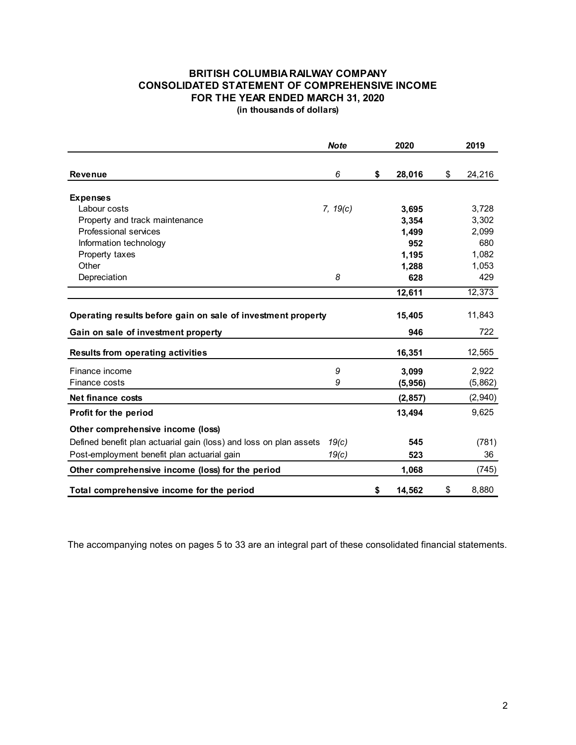#### **BRITISH COLUMBIA RAILWAY COMPANY CONSOLIDATED STATEMENT OF COMPREHENSIVE INCOME FOR THE YEAR ENDED MARCH 31, 2020 (in thousands of dollars)**

*Note* **2020 2019 Revenue** *6* **\$ 28,016** \$ 24,216 **Expenses** Labour costs *7, 19(c)* **3,695** 3,728 Property and track maintenance **3,354** 3,302 Professional services **1,499** 2,099 Information technology **952** 680 Property taxes **1,082** 1,082 Other **1,288** 1,053 Depreciation *8* **628** 429  **12,611** 12,373 **Operating results before gain on sale of investment property 15,405** 11,843 Gain on sale of investment property **846** 946 722 **Results from operating activities 16,351** 16,351 12,565 Finance income *9* **3,099** 2,922 Finance costs *9* **(5,956)** (5,862) **Net finance costs** (2,940) (2,940) **Profit for the period** 13,494 9,625 **Other comprehensive income (loss)** Defined benefit plan actuarial gain (loss) and loss on plan assets *19(c)* **545** (781) Post-employment benefit plan actuarial gain *19(c)* **523** 36 **Other comprehensive income (loss) for the period 1,068** 1,068 (745) **Total comprehensive income for the period \$ 14,562** \$ 8,880

The accompanying notes on pages 5 to 33 are an integral part of these consolidated financial statements.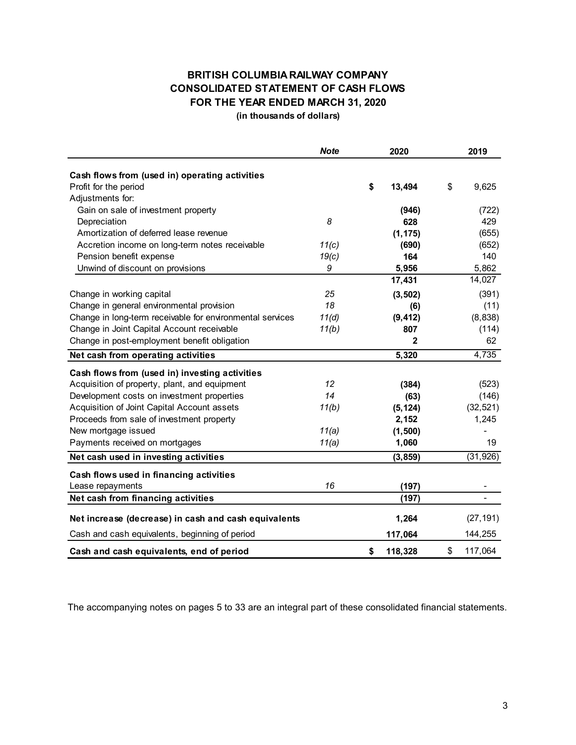## **BRITISH COLUMBIA RAILWAY COMPANY CONSOLIDATED STATEMENT OF CASH FLOWS FOR THE YEAR ENDED MARCH 31, 2020**

**(in thousands of dollars)**

|                                                           | <b>Note</b> | 2020          | 2019          |
|-----------------------------------------------------------|-------------|---------------|---------------|
| Cash flows from (used in) operating activities            |             |               |               |
| Profit for the period                                     |             | \$<br>13,494  | \$<br>9,625   |
| Adjustments for:                                          |             |               |               |
| Gain on sale of investment property                       |             | (946)         | (722)         |
| Depreciation                                              | 8           | 628           | 429           |
| Amortization of deferred lease revenue                    |             | (1, 175)      | (655)         |
| Accretion income on long-term notes receivable            | 11(c)       | (690)         | (652)         |
| Pension benefit expense                                   | 19(c)       | 164           | 140           |
| Unwind of discount on provisions                          | 9           | 5,956         | 5,862         |
|                                                           |             | 17,431        | 14,027        |
| Change in working capital                                 | 25          | (3, 502)      | (391)         |
| Change in general environmental provision                 | 18          | (6)           | (11)          |
| Change in long-term receivable for environmental services | 11(d)       | (9, 412)      | (8,838)       |
| Change in Joint Capital Account receivable                | 11(b)       | 807           | (114)         |
| Change in post-employment benefit obligation              |             | 2             | 62            |
| Net cash from operating activities                        |             | 5,320         | 4,735         |
| Cash flows from (used in) investing activities            |             |               |               |
| Acquisition of property, plant, and equipment             | 12          | (384)         | (523)         |
| Development costs on investment properties                | 14          | (63)          | (146)         |
| Acquisition of Joint Capital Account assets               | 11(b)       | (5, 124)      | (32, 521)     |
| Proceeds from sale of investment property                 |             | 2,152         | 1,245         |
| New mortgage issued                                       | 11(a)       | (1, 500)      |               |
| Payments received on mortgages                            | 11(a)       | 1,060         | 19            |
| Net cash used in investing activities                     |             | (3, 859)      | (31, 926)     |
| Cash flows used in financing activities                   |             |               |               |
| Lease repayments                                          | 16          | (197)         |               |
| Net cash from financing activities                        |             | (197)         |               |
| Net increase (decrease) in cash and cash equivalents      |             | 1,264         | (27, 191)     |
| Cash and cash equivalents, beginning of period            |             | 117,064       | 144,255       |
| Cash and cash equivalents, end of period                  |             | \$<br>118,328 | \$<br>117,064 |

The accompanying notes on pages 5 to 33 are an integral part of these consolidated financial statements.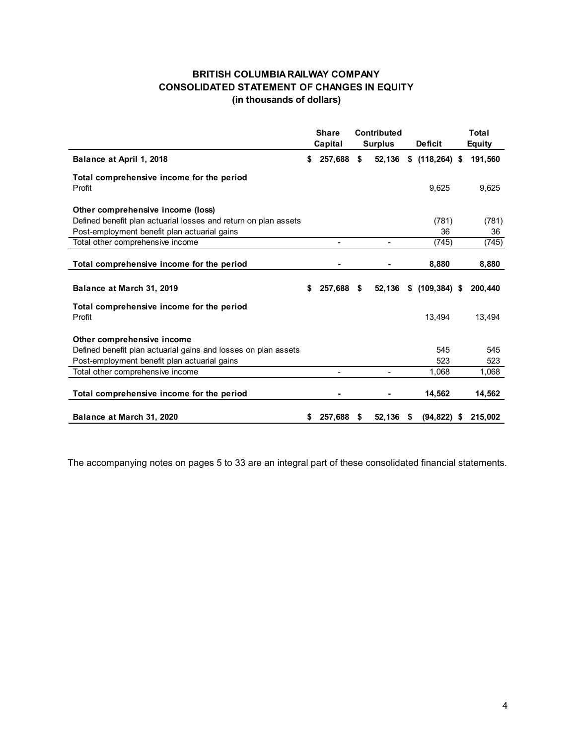### **BRITISH COLUMBIA RAILWAY COMPANY CONSOLIDATED STATEMENT OF CHANGES IN EQUITY (in thousands of dollars)**

|                                                                                                                                                      |    | <b>Share</b><br>Capital | Contributed<br><b>Surplus</b> | <b>Deficit</b>   |   | Total<br>Equity |
|------------------------------------------------------------------------------------------------------------------------------------------------------|----|-------------------------|-------------------------------|------------------|---|-----------------|
| Balance at April 1, 2018                                                                                                                             | \$ | 257,688                 | \$<br>52,136                  | $$$ (118,264) \$ |   | 191,560         |
| Total comprehensive income for the period<br>Profit                                                                                                  |    |                         |                               | 9,625            |   | 9,625           |
| Other comprehensive income (loss)<br>Defined benefit plan actuarial losses and return on plan assets<br>Post-employment benefit plan actuarial gains |    |                         |                               | (781)<br>36      |   | (781)<br>36     |
| Total other comprehensive income                                                                                                                     |    | ۰                       |                               | (745)            |   | (745)           |
| Total comprehensive income for the period                                                                                                            |    |                         |                               | 8,880            |   | 8,880           |
| Balance at March 31, 2019                                                                                                                            | S  | 257,688                 | \$<br>52,136                  | $$(109, 384)$ \$ |   | 200,440         |
| Total comprehensive income for the period<br>Profit                                                                                                  |    |                         |                               | 13.494           |   | 13.494          |
| Other comprehensive income<br>Defined benefit plan actuarial gains and losses on plan assets<br>Post-employment benefit plan actuarial gains         |    |                         |                               | 545<br>523       |   | 545<br>523      |
| Total other comprehensive income                                                                                                                     |    |                         |                               | 1,068            |   | 1,068           |
| Total comprehensive income for the period                                                                                                            |    |                         |                               | 14,562           |   | 14,562          |
| Balance at March 31, 2020                                                                                                                            | \$ | 257.688                 | \$<br>52,136                  | \$<br>(94, 822)  | S | 215,002         |

The accompanying notes on pages 5 to 33 are an integral part of these consolidated financial statements.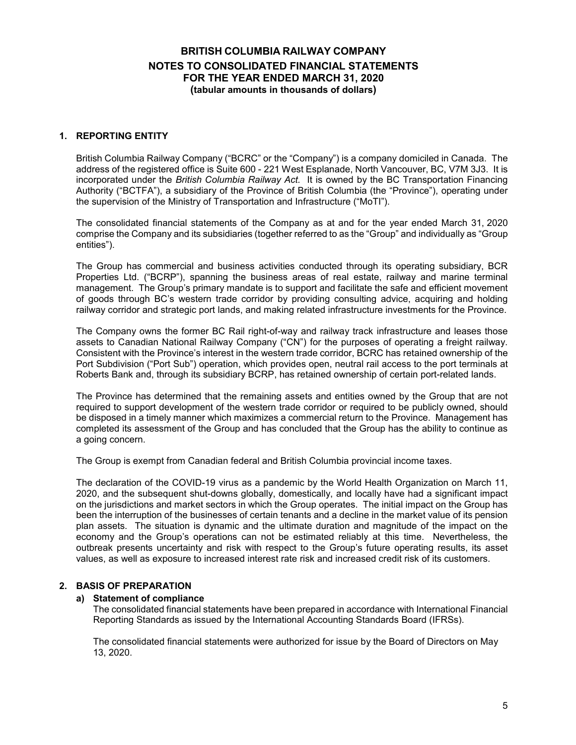#### **1. REPORTING ENTITY**

British Columbia Railway Company ("BCRC" or the "Company") is a company domiciled in Canada. The address of the registered office is Suite 600 - 221 West Esplanade, North Vancouver, BC, V7M 3J3. It is incorporated under the *British Columbia Railway Act.* It is owned by the BC Transportation Financing Authority ("BCTFA"), a subsidiary of the Province of British Columbia (the "Province"), operating under the supervision of the Ministry of Transportation and Infrastructure ("MoTI").

The consolidated financial statements of the Company as at and for the year ended March 31, 2020 comprise the Company and its subsidiaries (together referred to as the "Group" and individually as "Group entities").

The Group has commercial and business activities conducted through its operating subsidiary, BCR Properties Ltd. ("BCRP"), spanning the business areas of real estate, railway and marine terminal management. The Group's primary mandate is to support and facilitate the safe and efficient movement of goods through BC's western trade corridor by providing consulting advice, acquiring and holding railway corridor and strategic port lands, and making related infrastructure investments for the Province.

The Company owns the former BC Rail right-of-way and railway track infrastructure and leases those assets to Canadian National Railway Company ("CN") for the purposes of operating a freight railway. Consistent with the Province's interest in the western trade corridor, BCRC has retained ownership of the Port Subdivision ("Port Sub") operation, which provides open, neutral rail access to the port terminals at Roberts Bank and, through its subsidiary BCRP, has retained ownership of certain port-related lands.

The Province has determined that the remaining assets and entities owned by the Group that are not required to support development of the western trade corridor or required to be publicly owned, should be disposed in a timely manner which maximizes a commercial return to the Province. Management has completed its assessment of the Group and has concluded that the Group has the ability to continue as a going concern.

The Group is exempt from Canadian federal and British Columbia provincial income taxes.

The declaration of the COVID-19 virus as a pandemic by the World Health Organization on March 11, 2020, and the subsequent shut-downs globally, domestically, and locally have had a significant impact on the jurisdictions and market sectors in which the Group operates. The initial impact on the Group has been the interruption of the businesses of certain tenants and a decline in the market value of its pension plan assets. The situation is dynamic and the ultimate duration and magnitude of the impact on the economy and the Group's operations can not be estimated reliably at this time. Nevertheless, the outbreak presents uncertainty and risk with respect to the Group's future operating results, its asset values, as well as exposure to increased interest rate risk and increased credit risk of its customers.

#### **2. BASIS OF PREPARATION**

#### **a) Statement of compliance**

The consolidated financial statements have been prepared in accordance with International Financial Reporting Standards as issued by the International Accounting Standards Board (IFRSs).

The consolidated financial statements were authorized for issue by the Board of Directors on May 13, 2020.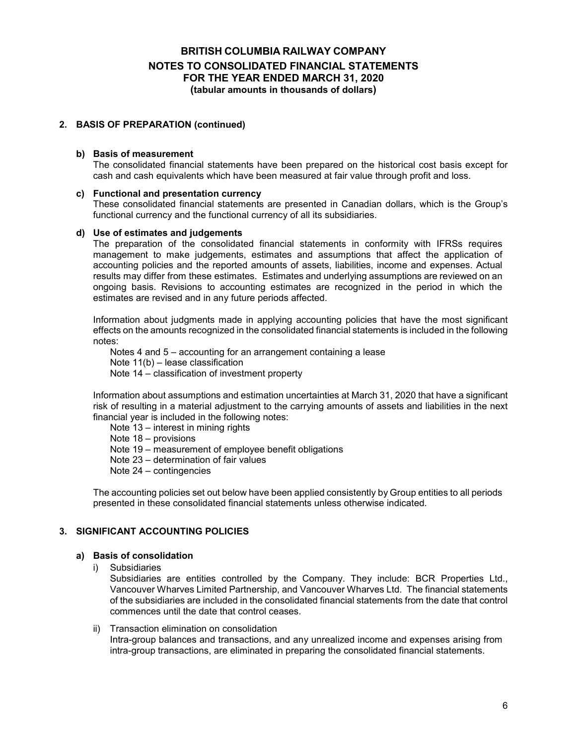#### **2. BASIS OF PREPARATION (continued)**

#### **b) Basis of measurement**

The consolidated financial statements have been prepared on the historical cost basis except for cash and cash equivalents which have been measured at fair value through profit and loss.

#### **c) Functional and presentation currency**

These consolidated financial statements are presented in Canadian dollars, which is the Group's functional currency and the functional currency of all its subsidiaries.

#### **d) Use of estimates and judgements**

The preparation of the consolidated financial statements in conformity with IFRSs requires management to make judgements, estimates and assumptions that affect the application of accounting policies and the reported amounts of assets, liabilities, income and expenses. Actual results may differ from these estimates. Estimates and underlying assumptions are reviewed on an ongoing basis. Revisions to accounting estimates are recognized in the period in which the estimates are revised and in any future periods affected.

Information about judgments made in applying accounting policies that have the most significant effects on the amounts recognized in the consolidated financial statements is included in the following notes:

Notes 4 and 5 – accounting for an arrangement containing a lease Note 11(b) – lease classification Note 14 – classification of investment property

Information about assumptions and estimation uncertainties at March 31, 2020 that have a significant risk of resulting in a material adjustment to the carrying amounts of assets and liabilities in the next financial year is included in the following notes:

Note 13 – interest in mining rights Note 18 – provisions Note 19 – measurement of employee benefit obligations Note 23 – determination of fair values Note 24 – contingencies

The accounting policies set out below have been applied consistently by Group entities to all periods presented in these consolidated financial statements unless otherwise indicated.

#### **3. SIGNIFICANT ACCOUNTING POLICIES**

#### **a) Basis of consolidation**

i) Subsidiaries

Subsidiaries are entities controlled by the Company. They include: BCR Properties Ltd., Vancouver Wharves Limited Partnership, and Vancouver Wharves Ltd. The financial statements of the subsidiaries are included in the consolidated financial statements from the date that control commences until the date that control ceases.

ii) Transaction elimination on consolidation Intra-group balances and transactions, and any unrealized income and expenses arising from intra-group transactions, are eliminated in preparing the consolidated financial statements.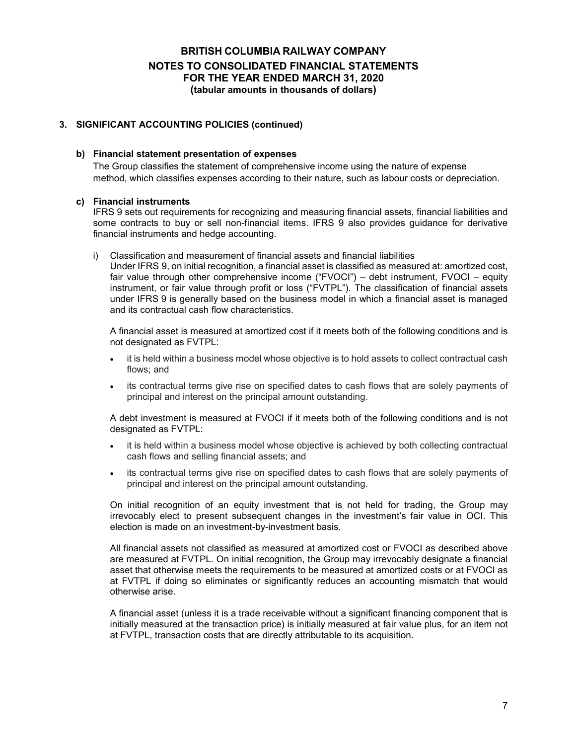#### **3. SIGNIFICANT ACCOUNTING POLICIES (continued)**

#### **b) Financial statement presentation of expenses**

The Group classifies the statement of comprehensive income using the nature of expense method, which classifies expenses according to their nature, such as labour costs or depreciation.

#### **c) Financial instruments**

IFRS 9 sets out requirements for recognizing and measuring financial assets, financial liabilities and some contracts to buy or sell non-financial items. IFRS 9 also provides guidance for derivative financial instruments and hedge accounting.

i) Classification and measurement of financial assets and financial liabilities Under IFRS 9, on initial recognition, a financial asset is classified as measured at: amortized cost, fair value through other comprehensive income ("FVOCI") – debt instrument, FVOCI – equity instrument, or fair value through profit or loss ("FVTPL"). The classification of financial assets under IFRS 9 is generally based on the business model in which a financial asset is managed and its contractual cash flow characteristics.

A financial asset is measured at amortized cost if it meets both of the following conditions and is not designated as FVTPL:

- it is held within a business model whose objective is to hold assets to collect contractual cash flows; and
- its contractual terms give rise on specified dates to cash flows that are solely payments of principal and interest on the principal amount outstanding.

A debt investment is measured at FVOCI if it meets both of the following conditions and is not designated as FVTPL:

- it is held within a business model whose objective is achieved by both collecting contractual cash flows and selling financial assets; and
- its contractual terms give rise on specified dates to cash flows that are solely payments of principal and interest on the principal amount outstanding.

On initial recognition of an equity investment that is not held for trading, the Group may irrevocably elect to present subsequent changes in the investment's fair value in OCI. This election is made on an investment-by-investment basis.

All financial assets not classified as measured at amortized cost or FVOCI as described above are measured at FVTPL. On initial recognition, the Group may irrevocably designate a financial asset that otherwise meets the requirements to be measured at amortized costs or at FVOCI as at FVTPL if doing so eliminates or significantly reduces an accounting mismatch that would otherwise arise.

A financial asset (unless it is a trade receivable without a significant financing component that is initially measured at the transaction price) is initially measured at fair value plus, for an item not at FVTPL, transaction costs that are directly attributable to its acquisition.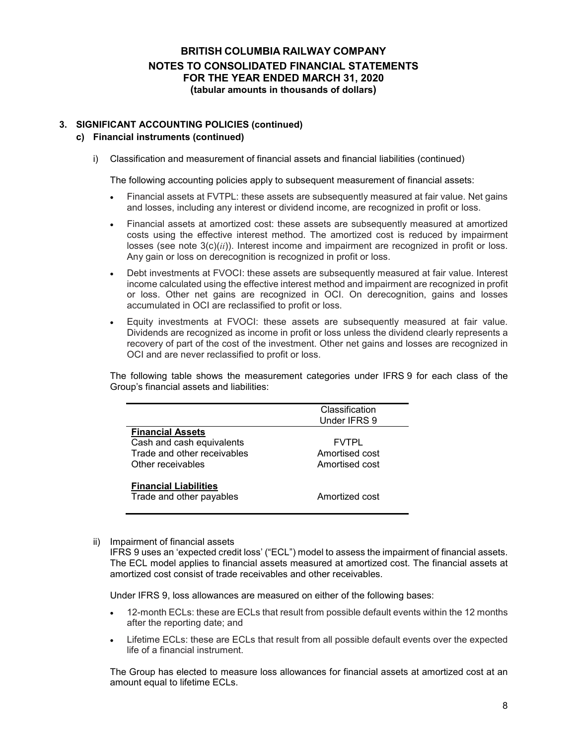#### **3. SIGNIFICANT ACCOUNTING POLICIES (continued)**

#### **c) Financial instruments (continued)**

i) Classification and measurement of financial assets and financial liabilities (continued)

The following accounting policies apply to subsequent measurement of financial assets:

- Financial assets at FVTPL: these assets are subsequently measured at fair value. Net gains and losses, including any interest or dividend income, are recognized in profit or loss.
- Financial assets at amortized cost: these assets are subsequently measured at amortized costs using the effective interest method. The amortized cost is reduced by impairment losses (see note 3(c)(*ii*)). Interest income and impairment are recognized in profit or loss. Any gain or loss on derecognition is recognized in profit or loss.
- Debt investments at FVOCI: these assets are subsequently measured at fair value. Interest income calculated using the effective interest method and impairment are recognized in profit or loss. Other net gains are recognized in OCI. On derecognition, gains and losses accumulated in OCI are reclassified to profit or loss.
- Equity investments at FVOCI: these assets are subsequently measured at fair value. Dividends are recognized as income in profit or loss unless the dividend clearly represents a recovery of part of the cost of the investment. Other net gains and losses are recognized in OCI and are never reclassified to profit or loss.

The following table shows the measurement categories under IFRS 9 for each class of the Group's financial assets and liabilities:

|                              | Classification |
|------------------------------|----------------|
|                              | Under IFRS 9   |
| <b>Financial Assets</b>      |                |
| Cash and cash equivalents    | <b>FVTPL</b>   |
| Trade and other receivables  | Amortised cost |
| Other receivables            | Amortised cost |
|                              |                |
| <b>Financial Liabilities</b> |                |
| Trade and other payables     | Amortized cost |
|                              |                |

#### ii) Impairment of financial assets

IFRS 9 uses an 'expected credit loss' ("ECL") model to assess the impairment of financial assets. The ECL model applies to financial assets measured at amortized cost. The financial assets at amortized cost consist of trade receivables and other receivables.

Under IFRS 9, loss allowances are measured on either of the following bases:

- 12-month ECLs: these are ECLs that result from possible default events within the 12 months after the reporting date; and
- Lifetime ECLs: these are ECLs that result from all possible default events over the expected life of a financial instrument.

The Group has elected to measure loss allowances for financial assets at amortized cost at an amount equal to lifetime ECLs.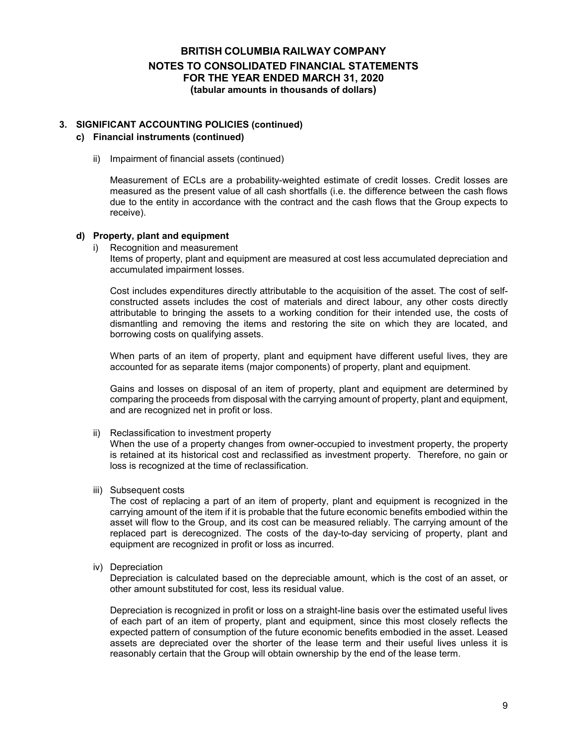#### **3. SIGNIFICANT ACCOUNTING POLICIES (continued)**

#### **c) Financial instruments (continued)**

ii) Impairment of financial assets (continued)

Measurement of ECLs are a probability-weighted estimate of credit losses. Credit losses are measured as the present value of all cash shortfalls (i.e. the difference between the cash flows due to the entity in accordance with the contract and the cash flows that the Group expects to receive).

#### **d) Property, plant and equipment**

i) Recognition and measurement

Items of property, plant and equipment are measured at cost less accumulated depreciation and accumulated impairment losses.

Cost includes expenditures directly attributable to the acquisition of the asset. The cost of selfconstructed assets includes the cost of materials and direct labour, any other costs directly attributable to bringing the assets to a working condition for their intended use, the costs of dismantling and removing the items and restoring the site on which they are located, and borrowing costs on qualifying assets.

When parts of an item of property, plant and equipment have different useful lives, they are accounted for as separate items (major components) of property, plant and equipment.

Gains and losses on disposal of an item of property, plant and equipment are determined by comparing the proceeds from disposal with the carrying amount of property, plant and equipment, and are recognized net in profit or loss.

ii) Reclassification to investment property

When the use of a property changes from owner-occupied to investment property, the property is retained at its historical cost and reclassified as investment property. Therefore, no gain or loss is recognized at the time of reclassification.

iii) Subsequent costs

The cost of replacing a part of an item of property, plant and equipment is recognized in the carrying amount of the item if it is probable that the future economic benefits embodied within the asset will flow to the Group, and its cost can be measured reliably. The carrying amount of the replaced part is derecognized. The costs of the day-to-day servicing of property, plant and equipment are recognized in profit or loss as incurred.

iv) Depreciation

Depreciation is calculated based on the depreciable amount, which is the cost of an asset, or other amount substituted for cost, less its residual value.

Depreciation is recognized in profit or loss on a straight-line basis over the estimated useful lives of each part of an item of property, plant and equipment, since this most closely reflects the expected pattern of consumption of the future economic benefits embodied in the asset. Leased assets are depreciated over the shorter of the lease term and their useful lives unless it is reasonably certain that the Group will obtain ownership by the end of the lease term.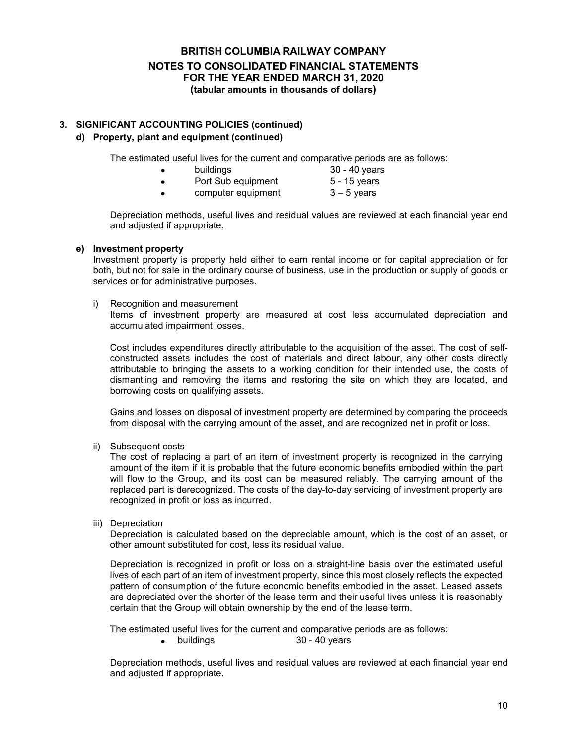#### **3. SIGNIFICANT ACCOUNTING POLICIES (continued) d) Property, plant and equipment (continued)**

The estimated useful lives for the current and comparative periods are as follows:

- buildings 30 40 years
- Port Sub equipment 5 15 years<br>• Computer equipment 3 5 years
- computer equipment

Depreciation methods, useful lives and residual values are reviewed at each financial year end and adjusted if appropriate.

#### **e) Investment property**

Investment property is property held either to earn rental income or for capital appreciation or for both, but not for sale in the ordinary course of business, use in the production or supply of goods or services or for administrative purposes.

i) Recognition and measurement

Items of investment property are measured at cost less accumulated depreciation and accumulated impairment losses.

Cost includes expenditures directly attributable to the acquisition of the asset. The cost of selfconstructed assets includes the cost of materials and direct labour, any other costs directly attributable to bringing the assets to a working condition for their intended use, the costs of dismantling and removing the items and restoring the site on which they are located, and borrowing costs on qualifying assets.

Gains and losses on disposal of investment property are determined by comparing the proceeds from disposal with the carrying amount of the asset, and are recognized net in profit or loss.

ii) Subsequent costs

The cost of replacing a part of an item of investment property is recognized in the carrying amount of the item if it is probable that the future economic benefits embodied within the part will flow to the Group, and its cost can be measured reliably. The carrying amount of the replaced part is derecognized. The costs of the day-to-day servicing of investment property are recognized in profit or loss as incurred.

iii) Depreciation

Depreciation is calculated based on the depreciable amount, which is the cost of an asset, or other amount substituted for cost, less its residual value.

Depreciation is recognized in profit or loss on a straight-line basis over the estimated useful lives of each part of an item of investment property, since this most closely reflects the expected pattern of consumption of the future economic benefits embodied in the asset. Leased assets are depreciated over the shorter of the lease term and their useful lives unless it is reasonably certain that the Group will obtain ownership by the end of the lease term.

The estimated useful lives for the current and comparative periods are as follows:

buildings 30 - 40 years

Depreciation methods, useful lives and residual values are reviewed at each financial year end and adjusted if appropriate.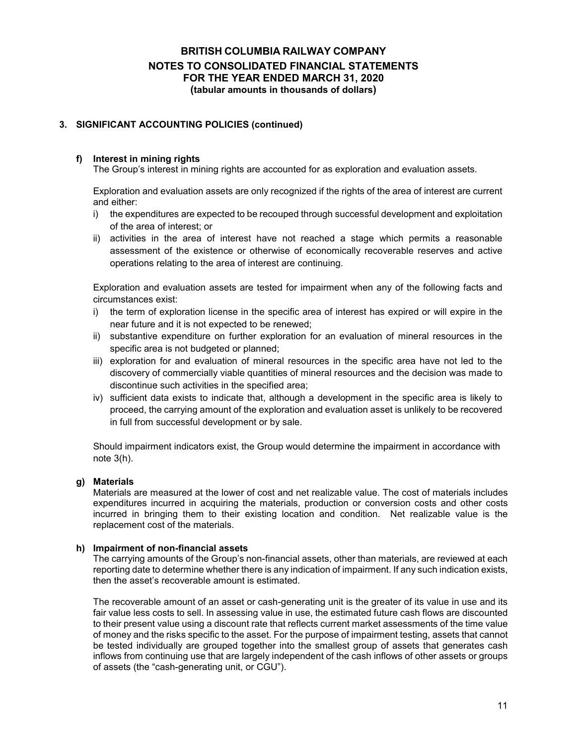#### **3. SIGNIFICANT ACCOUNTING POLICIES (continued)**

#### **f) Interest in mining rights**

The Group's interest in mining rights are accounted for as exploration and evaluation assets.

Exploration and evaluation assets are only recognized if the rights of the area of interest are current and either:

- i) the expenditures are expected to be recouped through successful development and exploitation of the area of interest; or
- ii) activities in the area of interest have not reached a stage which permits a reasonable assessment of the existence or otherwise of economically recoverable reserves and active operations relating to the area of interest are continuing.

Exploration and evaluation assets are tested for impairment when any of the following facts and circumstances exist:

- i) the term of exploration license in the specific area of interest has expired or will expire in the near future and it is not expected to be renewed;
- ii) substantive expenditure on further exploration for an evaluation of mineral resources in the specific area is not budgeted or planned;
- iii) exploration for and evaluation of mineral resources in the specific area have not led to the discovery of commercially viable quantities of mineral resources and the decision was made to discontinue such activities in the specified area;
- iv) sufficient data exists to indicate that, although a development in the specific area is likely to proceed, the carrying amount of the exploration and evaluation asset is unlikely to be recovered in full from successful development or by sale.

Should impairment indicators exist, the Group would determine the impairment in accordance with note 3(h).

#### **g) Materials**

Materials are measured at the lower of cost and net realizable value. The cost of materials includes expenditures incurred in acquiring the materials, production or conversion costs and other costs incurred in bringing them to their existing location and condition. Net realizable value is the replacement cost of the materials.

#### **h) Impairment of non-financial assets**

The carrying amounts of the Group's non-financial assets, other than materials, are reviewed at each reporting date to determine whether there is any indication of impairment. If any such indication exists, then the asset's recoverable amount is estimated.

The recoverable amount of an asset or cash-generating unit is the greater of its value in use and its fair value less costs to sell. In assessing value in use, the estimated future cash flows are discounted to their present value using a discount rate that reflects current market assessments of the time value of money and the risks specific to the asset. For the purpose of impairment testing, assets that cannot be tested individually are grouped together into the smallest group of assets that generates cash inflows from continuing use that are largely independent of the cash inflows of other assets or groups of assets (the "cash-generating unit, or CGU").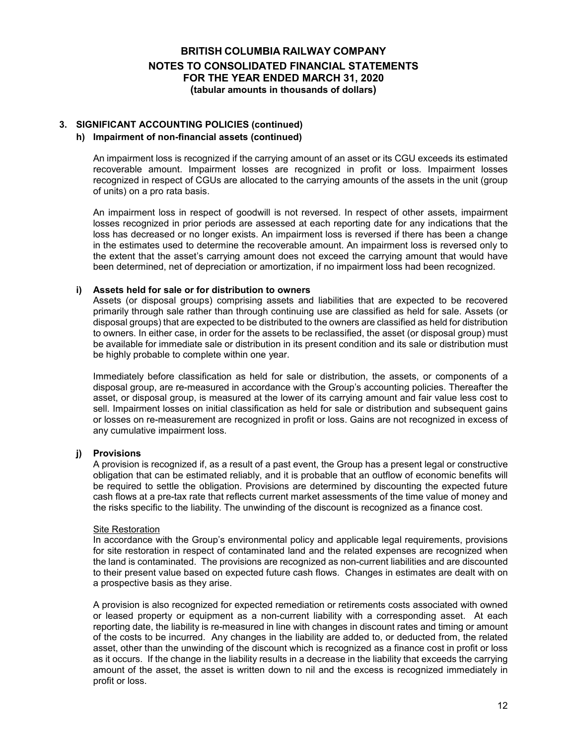### **3. SIGNIFICANT ACCOUNTING POLICIES (continued)**

#### **h) Impairment of non-financial assets (continued)**

An impairment loss is recognized if the carrying amount of an asset or its CGU exceeds its estimated recoverable amount. Impairment losses are recognized in profit or loss. Impairment losses recognized in respect of CGUs are allocated to the carrying amounts of the assets in the unit (group of units) on a pro rata basis.

An impairment loss in respect of goodwill is not reversed. In respect of other assets, impairment losses recognized in prior periods are assessed at each reporting date for any indications that the loss has decreased or no longer exists. An impairment loss is reversed if there has been a change in the estimates used to determine the recoverable amount. An impairment loss is reversed only to the extent that the asset's carrying amount does not exceed the carrying amount that would have been determined, net of depreciation or amortization, if no impairment loss had been recognized.

#### **i) Assets held for sale or for distribution to owners**

Assets (or disposal groups) comprising assets and liabilities that are expected to be recovered primarily through sale rather than through continuing use are classified as held for sale. Assets (or disposal groups) that are expected to be distributed to the owners are classified as held for distribution to owners. In either case, in order for the assets to be reclassified, the asset (or disposal group) must be available for immediate sale or distribution in its present condition and its sale or distribution must be highly probable to complete within one year.

Immediately before classification as held for sale or distribution, the assets, or components of a disposal group, are re-measured in accordance with the Group's accounting policies. Thereafter the asset, or disposal group, is measured at the lower of its carrying amount and fair value less cost to sell. Impairment losses on initial classification as held for sale or distribution and subsequent gains or losses on re-measurement are recognized in profit or loss. Gains are not recognized in excess of any cumulative impairment loss.

#### **j) Provisions**

A provision is recognized if, as a result of a past event, the Group has a present legal or constructive obligation that can be estimated reliably, and it is probable that an outflow of economic benefits will be required to settle the obligation. Provisions are determined by discounting the expected future cash flows at a pre-tax rate that reflects current market assessments of the time value of money and the risks specific to the liability. The unwinding of the discount is recognized as a finance cost.

#### Site Restoration

In accordance with the Group's environmental policy and applicable legal requirements, provisions for site restoration in respect of contaminated land and the related expenses are recognized when the land is contaminated. The provisions are recognized as non-current liabilities and are discounted to their present value based on expected future cash flows. Changes in estimates are dealt with on a prospective basis as they arise.

A provision is also recognized for expected remediation or retirements costs associated with owned or leased property or equipment as a non-current liability with a corresponding asset. At each reporting date, the liability is re-measured in line with changes in discount rates and timing or amount of the costs to be incurred. Any changes in the liability are added to, or deducted from, the related asset, other than the unwinding of the discount which is recognized as a finance cost in profit or loss as it occurs. If the change in the liability results in a decrease in the liability that exceeds the carrying amount of the asset, the asset is written down to nil and the excess is recognized immediately in profit or loss.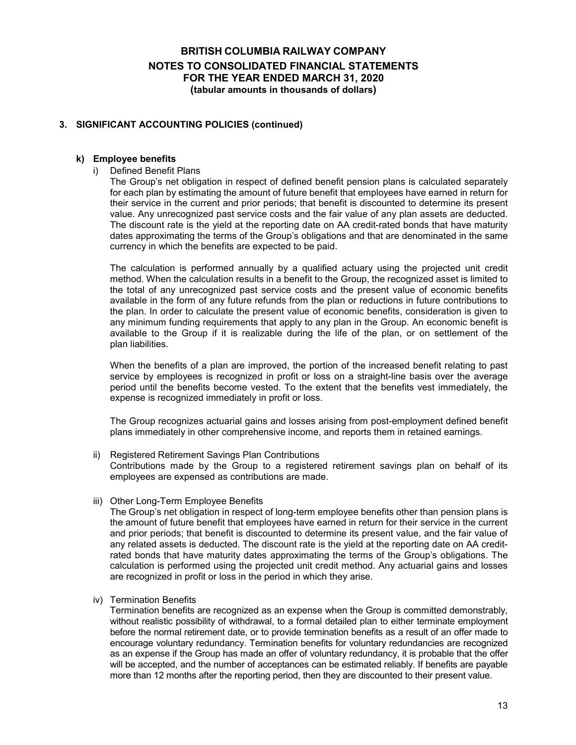#### **3. SIGNIFICANT ACCOUNTING POLICIES (continued)**

#### **k) Employee benefits**

i) Defined Benefit Plans

The Group's net obligation in respect of defined benefit pension plans is calculated separately for each plan by estimating the amount of future benefit that employees have earned in return for their service in the current and prior periods; that benefit is discounted to determine its present value. Any unrecognized past service costs and the fair value of any plan assets are deducted. The discount rate is the yield at the reporting date on AA credit-rated bonds that have maturity dates approximating the terms of the Group's obligations and that are denominated in the same currency in which the benefits are expected to be paid.

The calculation is performed annually by a qualified actuary using the projected unit credit method. When the calculation results in a benefit to the Group, the recognized asset is limited to the total of any unrecognized past service costs and the present value of economic benefits available in the form of any future refunds from the plan or reductions in future contributions to the plan. In order to calculate the present value of economic benefits, consideration is given to any minimum funding requirements that apply to any plan in the Group. An economic benefit is available to the Group if it is realizable during the life of the plan, or on settlement of the plan liabilities.

When the benefits of a plan are improved, the portion of the increased benefit relating to past service by employees is recognized in profit or loss on a straight-line basis over the average period until the benefits become vested. To the extent that the benefits vest immediately, the expense is recognized immediately in profit or loss.

The Group recognizes actuarial gains and losses arising from post-employment defined benefit plans immediately in other comprehensive income, and reports them in retained earnings.

- ii) Registered Retirement Savings Plan Contributions Contributions made by the Group to a registered retirement savings plan on behalf of its employees are expensed as contributions are made.
- iii) Other Long-Term Employee Benefits

The Group's net obligation in respect of long-term employee benefits other than pension plans is the amount of future benefit that employees have earned in return for their service in the current and prior periods; that benefit is discounted to determine its present value, and the fair value of any related assets is deducted. The discount rate is the yield at the reporting date on AA creditrated bonds that have maturity dates approximating the terms of the Group's obligations. The calculation is performed using the projected unit credit method. Any actuarial gains and losses are recognized in profit or loss in the period in which they arise.

iv) Termination Benefits

Termination benefits are recognized as an expense when the Group is committed demonstrably, without realistic possibility of withdrawal, to a formal detailed plan to either terminate employment before the normal retirement date, or to provide termination benefits as a result of an offer made to encourage voluntary redundancy. Termination benefits for voluntary redundancies are recognized as an expense if the Group has made an offer of voluntary redundancy, it is probable that the offer will be accepted, and the number of acceptances can be estimated reliably. If benefits are payable more than 12 months after the reporting period, then they are discounted to their present value.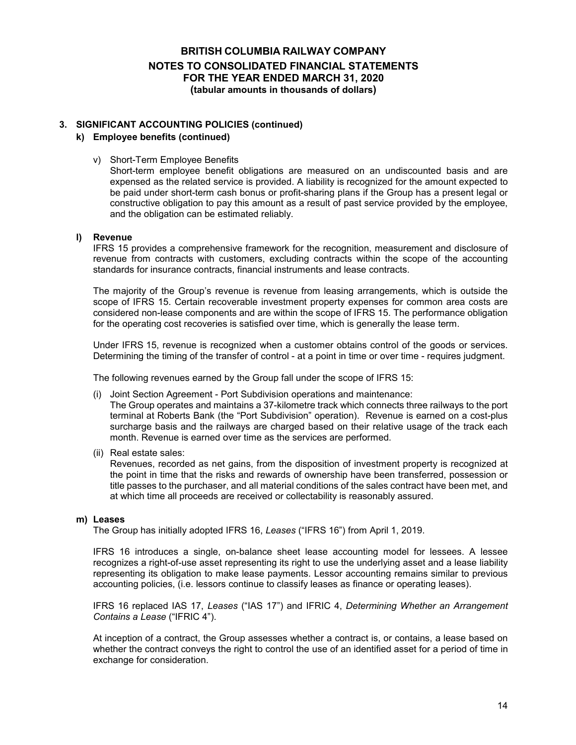#### **3. SIGNIFICANT ACCOUNTING POLICIES (continued)**

#### **k) Employee benefits (continued)**

v) Short-Term Employee Benefits

Short-term employee benefit obligations are measured on an undiscounted basis and are expensed as the related service is provided. A liability is recognized for the amount expected to be paid under short-term cash bonus or profit-sharing plans if the Group has a present legal or constructive obligation to pay this amount as a result of past service provided by the employee, and the obligation can be estimated reliably.

#### **l) Revenue**

IFRS 15 provides a comprehensive framework for the recognition, measurement and disclosure of revenue from contracts with customers, excluding contracts within the scope of the accounting standards for insurance contracts, financial instruments and lease contracts.

The majority of the Group's revenue is revenue from leasing arrangements, which is outside the scope of IFRS 15. Certain recoverable investment property expenses for common area costs are considered non-lease components and are within the scope of IFRS 15. The performance obligation for the operating cost recoveries is satisfied over time, which is generally the lease term.

Under IFRS 15, revenue is recognized when a customer obtains control of the goods or services. Determining the timing of the transfer of control - at a point in time or over time - requires judgment.

The following revenues earned by the Group fall under the scope of IFRS 15:

(i) Joint Section Agreement - Port Subdivision operations and maintenance:

The Group operates and maintains a 37-kilometre track which connects three railways to the port terminal at Roberts Bank (the "Port Subdivision" operation). Revenue is earned on a cost-plus surcharge basis and the railways are charged based on their relative usage of the track each month. Revenue is earned over time as the services are performed.

(ii) Real estate sales:

Revenues, recorded as net gains, from the disposition of investment property is recognized at the point in time that the risks and rewards of ownership have been transferred, possession or title passes to the purchaser, and all material conditions of the sales contract have been met, and at which time all proceeds are received or collectability is reasonably assured.

#### **m) Leases**

The Group has initially adopted IFRS 16, *Leases* ("IFRS 16") from April 1, 2019.

IFRS 16 introduces a single, on-balance sheet lease accounting model for lessees. A lessee recognizes a right-of-use asset representing its right to use the underlying asset and a lease liability representing its obligation to make lease payments. Lessor accounting remains similar to previous accounting policies, (i.e. lessors continue to classify leases as finance or operating leases).

IFRS 16 replaced IAS 17, *Leases* ("IAS 17") and IFRIC 4, *Determining Whether an Arrangement Contains a Lease* ("IFRIC 4").

At inception of a contract, the Group assesses whether a contract is, or contains, a lease based on whether the contract conveys the right to control the use of an identified asset for a period of time in exchange for consideration.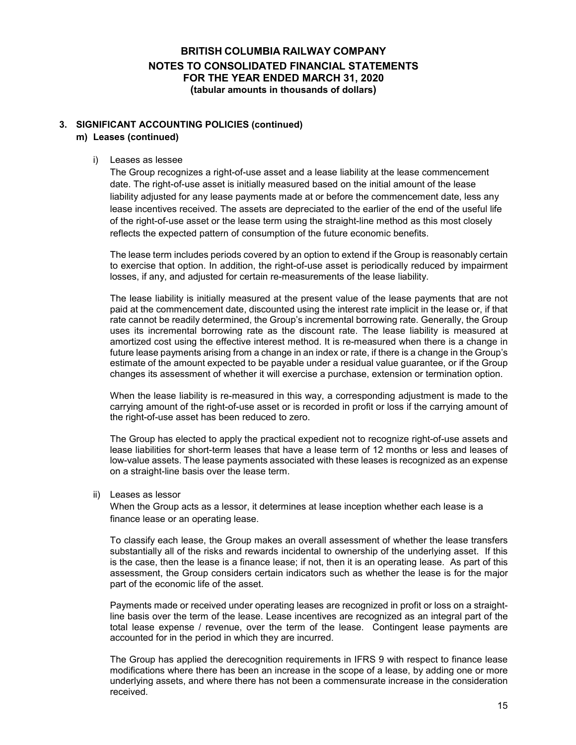#### **3. SIGNIFICANT ACCOUNTING POLICIES (continued) m) Leases (continued)**

#### i) Leases as lessee

The Group recognizes a right-of-use asset and a lease liability at the lease commencement date. The right-of-use asset is initially measured based on the initial amount of the lease liability adjusted for any lease payments made at or before the commencement date, less any lease incentives received. The assets are depreciated to the earlier of the end of the useful life of the right-of-use asset or the lease term using the straight-line method as this most closely reflects the expected pattern of consumption of the future economic benefits.

The lease term includes periods covered by an option to extend if the Group is reasonably certain to exercise that option. In addition, the right-of-use asset is periodically reduced by impairment losses, if any, and adjusted for certain re-measurements of the lease liability.

The lease liability is initially measured at the present value of the lease payments that are not paid at the commencement date, discounted using the interest rate implicit in the lease or, if that rate cannot be readily determined, the Group's incremental borrowing rate. Generally, the Group uses its incremental borrowing rate as the discount rate. The lease liability is measured at amortized cost using the effective interest method. It is re-measured when there is a change in future lease payments arising from a change in an index or rate, if there is a change in the Group's estimate of the amount expected to be payable under a residual value guarantee, or if the Group changes its assessment of whether it will exercise a purchase, extension or termination option.

When the lease liability is re-measured in this way, a corresponding adjustment is made to the carrying amount of the right-of-use asset or is recorded in profit or loss if the carrying amount of the right-of-use asset has been reduced to zero.

The Group has elected to apply the practical expedient not to recognize right-of-use assets and lease liabilities for short-term leases that have a lease term of 12 months or less and leases of low-value assets. The lease payments associated with these leases is recognized as an expense on a straight-line basis over the lease term.

ii) Leases as lessor

When the Group acts as a lessor, it determines at lease inception whether each lease is a finance lease or an operating lease.

To classify each lease, the Group makes an overall assessment of whether the lease transfers substantially all of the risks and rewards incidental to ownership of the underlying asset. If this is the case, then the lease is a finance lease; if not, then it is an operating lease. As part of this assessment, the Group considers certain indicators such as whether the lease is for the major part of the economic life of the asset.

Payments made or received under operating leases are recognized in profit or loss on a straightline basis over the term of the lease. Lease incentives are recognized as an integral part of the total lease expense / revenue, over the term of the lease. Contingent lease payments are accounted for in the period in which they are incurred.

The Group has applied the derecognition requirements in IFRS 9 with respect to finance lease modifications where there has been an increase in the scope of a lease, by adding one or more underlying assets, and where there has not been a commensurate increase in the consideration received.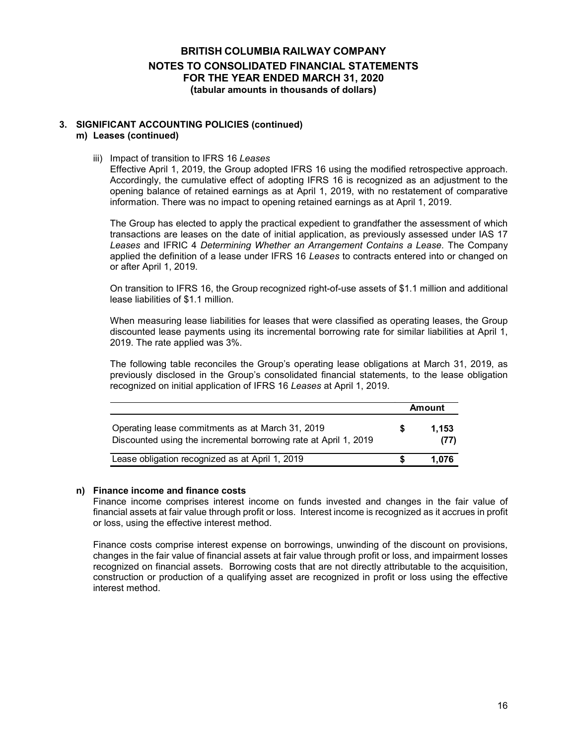#### **3. SIGNIFICANT ACCOUNTING POLICIES (continued) m) Leases (continued)**

iii) Impact of transition to IFRS 16 *Leases*

Effective April 1, 2019, the Group adopted IFRS 16 using the modified retrospective approach. Accordingly, the cumulative effect of adopting IFRS 16 is recognized as an adjustment to the opening balance of retained earnings as at April 1, 2019, with no restatement of comparative information. There was no impact to opening retained earnings as at April 1, 2019.

The Group has elected to apply the practical expedient to grandfather the assessment of which transactions are leases on the date of initial application, as previously assessed under IAS 17 *Leases* and IFRIC 4 *Determining Whether an Arrangement Contains a Lease*. The Company applied the definition of a lease under IFRS 16 *Leases* to contracts entered into or changed on or after April 1, 2019.

On transition to IFRS 16, the Group recognized right-of-use assets of \$1.1 million and additional lease liabilities of \$1.1 million.

When measuring lease liabilities for leases that were classified as operating leases, the Group discounted lease payments using its incremental borrowing rate for similar liabilities at April 1, 2019. The rate applied was 3%.

The following table reconciles the Group's operating lease obligations at March 31, 2019, as previously disclosed in the Group's consolidated financial statements, to the lease obligation recognized on initial application of IFRS 16 *Leases* at April 1, 2019.

|                                                                                                                      |   | <b>Amount</b> |
|----------------------------------------------------------------------------------------------------------------------|---|---------------|
| Operating lease commitments as at March 31, 2019<br>Discounted using the incremental borrowing rate at April 1, 2019 | S | 1.153<br>(77) |
| Lease obligation recognized as at April 1, 2019                                                                      |   | 1.076         |

#### **n) Finance income and finance costs**

Finance income comprises interest income on funds invested and changes in the fair value of financial assets at fair value through profit or loss. Interest income is recognized as it accrues in profit or loss, using the effective interest method.

Finance costs comprise interest expense on borrowings, unwinding of the discount on provisions, changes in the fair value of financial assets at fair value through profit or loss, and impairment losses recognized on financial assets. Borrowing costs that are not directly attributable to the acquisition, construction or production of a qualifying asset are recognized in profit or loss using the effective interest method.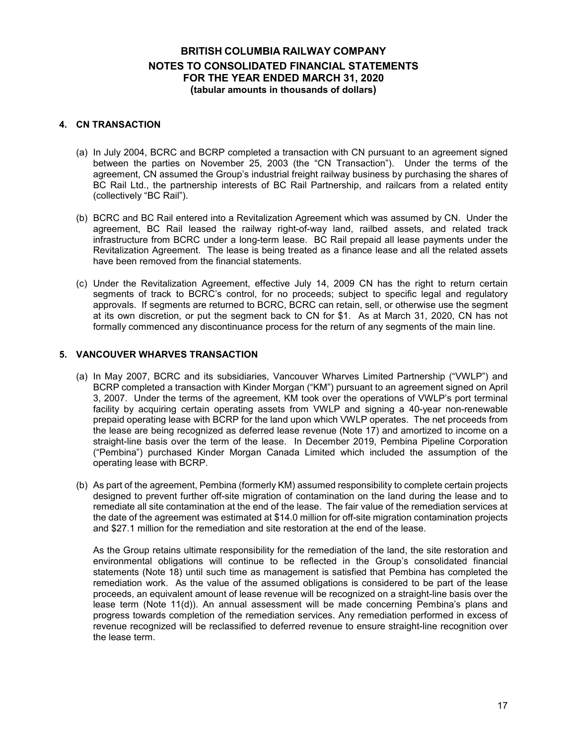#### **4. CN TRANSACTION**

- (a) In July 2004, BCRC and BCRP completed a transaction with CN pursuant to an agreement signed between the parties on November 25, 2003 (the "CN Transaction"). Under the terms of the agreement, CN assumed the Group's industrial freight railway business by purchasing the shares of BC Rail Ltd., the partnership interests of BC Rail Partnership, and railcars from a related entity (collectively "BC Rail").
- (b) BCRC and BC Rail entered into a Revitalization Agreement which was assumed by CN. Under the agreement, BC Rail leased the railway right-of-way land, railbed assets, and related track infrastructure from BCRC under a long-term lease. BC Rail prepaid all lease payments under the Revitalization Agreement. The lease is being treated as a finance lease and all the related assets have been removed from the financial statements.
- (c) Under the Revitalization Agreement, effective July 14, 2009 CN has the right to return certain segments of track to BCRC's control, for no proceeds; subject to specific legal and regulatory approvals. If segments are returned to BCRC, BCRC can retain, sell, or otherwise use the segment at its own discretion, or put the segment back to CN for \$1. As at March 31, 2020, CN has not formally commenced any discontinuance process for the return of any segments of the main line.

#### **5. VANCOUVER WHARVES TRANSACTION**

- (a) In May 2007, BCRC and its subsidiaries, Vancouver Wharves Limited Partnership ("VWLP") and BCRP completed a transaction with Kinder Morgan ("KM") pursuant to an agreement signed on April 3, 2007. Under the terms of the agreement, KM took over the operations of VWLP's port terminal facility by acquiring certain operating assets from VWLP and signing a 40-year non-renewable prepaid operating lease with BCRP for the land upon which VWLP operates. The net proceeds from the lease are being recognized as deferred lease revenue (Note 17) and amortized to income on a straight-line basis over the term of the lease. In December 2019, Pembina Pipeline Corporation ("Pembina") purchased Kinder Morgan Canada Limited which included the assumption of the operating lease with BCRP.
- (b) As part of the agreement, Pembina (formerly KM) assumed responsibility to complete certain projects designed to prevent further off-site migration of contamination on the land during the lease and to remediate all site contamination at the end of the lease. The fair value of the remediation services at the date of the agreement was estimated at \$14.0 million for off-site migration contamination projects and \$27.1 million for the remediation and site restoration at the end of the lease.

As the Group retains ultimate responsibility for the remediation of the land, the site restoration and environmental obligations will continue to be reflected in the Group's consolidated financial statements (Note 18) until such time as management is satisfied that Pembina has completed the remediation work. As the value of the assumed obligations is considered to be part of the lease proceeds, an equivalent amount of lease revenue will be recognized on a straight-line basis over the lease term (Note 11(d)). An annual assessment will be made concerning Pembina's plans and progress towards completion of the remediation services. Any remediation performed in excess of revenue recognized will be reclassified to deferred revenue to ensure straight-line recognition over the lease term.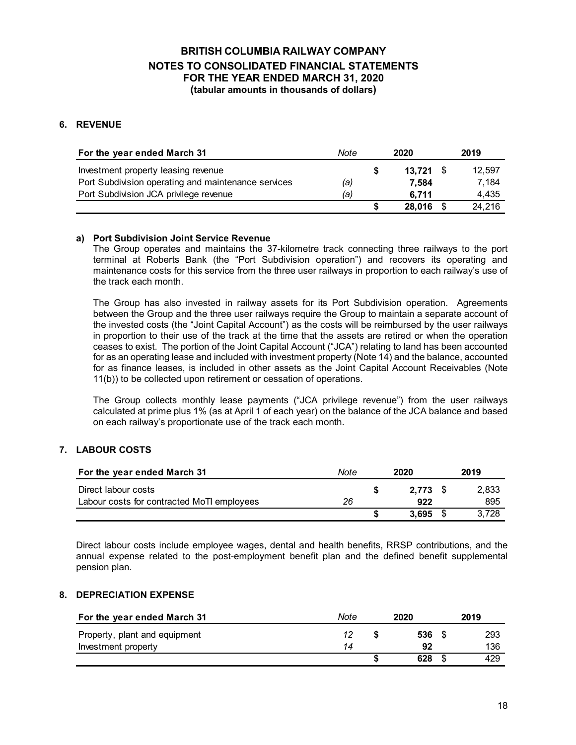### **6. REVENUE**

| For the year ended March 31                         | Note | 2020   | 2019 |        |  |
|-----------------------------------------------------|------|--------|------|--------|--|
| Investment property leasing revenue                 |      | 13.721 |      | 12.597 |  |
| Port Subdivision operating and maintenance services | (a)  | 7.584  |      | 7.184  |  |
| Port Subdivision JCA privilege revenue              | (a)  | 6.711  |      | 4.435  |  |
|                                                     |      | 28.016 |      | 24.216 |  |

#### **a) Port Subdivision Joint Service Revenue**

The Group operates and maintains the 37-kilometre track connecting three railways to the port terminal at Roberts Bank (the "Port Subdivision operation") and recovers its operating and maintenance costs for this service from the three user railways in proportion to each railway's use of the track each month.

The Group has also invested in railway assets for its Port Subdivision operation. Agreements between the Group and the three user railways require the Group to maintain a separate account of the invested costs (the "Joint Capital Account") as the costs will be reimbursed by the user railways in proportion to their use of the track at the time that the assets are retired or when the operation ceases to exist. The portion of the Joint Capital Account ("JCA") relating to land has been accounted for as an operating lease and included with investment property (Note 14) and the balance, accounted for as finance leases, is included in other assets as the Joint Capital Account Receivables (Note 11(b)) to be collected upon retirement or cessation of operations.

The Group collects monthly lease payments ("JCA privilege revenue") from the user railways calculated at prime plus 1% (as at April 1 of each year) on the balance of the JCA balance and based on each railway's proportionate use of the track each month.

#### **7. LABOUR COSTS**

| For the year ended March 31                | Note | 2020 |            |  |       |  |  |  |  |  | 2019 |
|--------------------------------------------|------|------|------------|--|-------|--|--|--|--|--|------|
| Direct labour costs                        |      |      | $2.773$ \$ |  | 2,833 |  |  |  |  |  |      |
| Labour costs for contracted MoTI employees | 26   |      | 922        |  | 895   |  |  |  |  |  |      |
|                                            |      |      | 3.695      |  | 3.728 |  |  |  |  |  |      |

Direct labour costs include employee wages, dental and health benefits, RRSP contributions, and the annual expense related to the post-employment benefit plan and the defined benefit supplemental pension plan.

#### **8. DEPRECIATION EXPENSE**

| For the year ended March 31   | Note | 2020 | 2019 |
|-------------------------------|------|------|------|
| Property, plant and equipment | 12   | 536  | 293  |
| Investment property           | 14   | 92   | 136  |
|                               |      | 628  | 429  |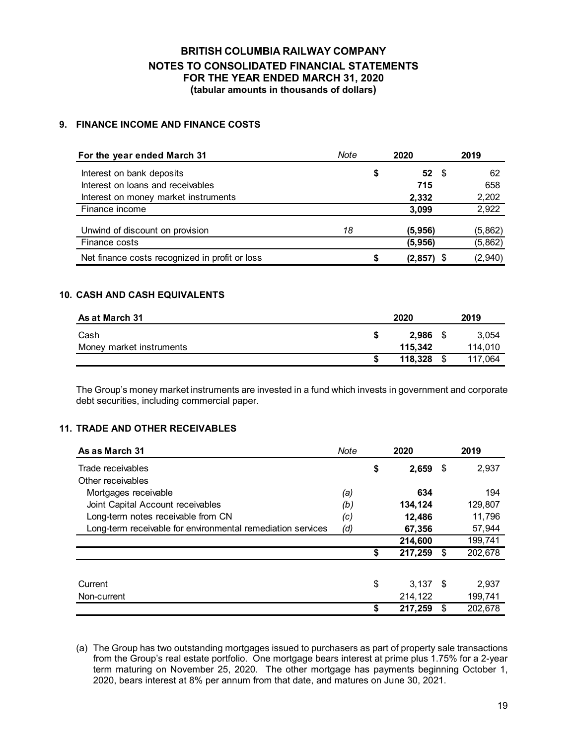### **9. FINANCE INCOME AND FINANCE COSTS**

| For the year ended March 31                    | Note | 2020             | 2019    |
|------------------------------------------------|------|------------------|---------|
| Interest on bank deposits                      |      | \$<br>$52 \quad$ | 62      |
| Interest on loans and receivables              |      | 715              | 658     |
| Interest on money market instruments           |      | 2,332            | 2,202   |
| Finance income                                 |      | 3,099            | 2,922   |
| Unwind of discount on provision                | 18   | (5, 956)         | (5,862) |
| Finance costs                                  |      | (5, 956)         | (5,862) |
| Net finance costs recognized in profit or loss |      | \$<br>(2, 857)   | (2,940) |

### **10. CASH AND CASH EQUIVALENTS**

| As at March 31           |    | 2020    | 2019 |         |  |
|--------------------------|----|---------|------|---------|--|
| Cash                     | S  | 2.986   |      | 3,054   |  |
| Money market instruments |    | 115.342 |      | 114,010 |  |
|                          | \$ | 118.328 | - \$ | 117.064 |  |

The Group's money market instruments are invested in a fund which invests in government and corporate debt securities, including commercial paper.

#### **11. TRADE AND OTHER RECEIVABLES**

| As as March 31                                              | Note | 2020             |      | 2019    |
|-------------------------------------------------------------|------|------------------|------|---------|
| Trade receivables                                           |      | \$<br>2,659      | - \$ | 2,937   |
| Other receivables                                           |      |                  |      |         |
| Mortgages receivable                                        | (a)  | 634              |      | 194     |
| Joint Capital Account receivables                           | (b)  | 134,124          |      | 129,807 |
| Long-term notes receivable from CN                          | (c)  | 12,486           |      | 11,796  |
| Long-term receivable for environmental remediation services | (d)  | 67,356           |      | 57,944  |
|                                                             |      | 214,600          |      | 199,741 |
|                                                             |      | \$<br>217,259    | \$   | 202,678 |
|                                                             |      |                  |      |         |
| Current                                                     |      | \$<br>$3.137$ \$ |      | 2,937   |
| Non-current                                                 |      | 214,122          |      | 199,741 |
|                                                             |      | \$<br>217,259    | \$   | 202.678 |

(a) The Group has two outstanding mortgages issued to purchasers as part of property sale transactions from the Group's real estate portfolio. One mortgage bears interest at prime plus 1.75% for a 2-year term maturing on November 25, 2020. The other mortgage has payments beginning October 1, 2020, bears interest at 8% per annum from that date, and matures on June 30, 2021.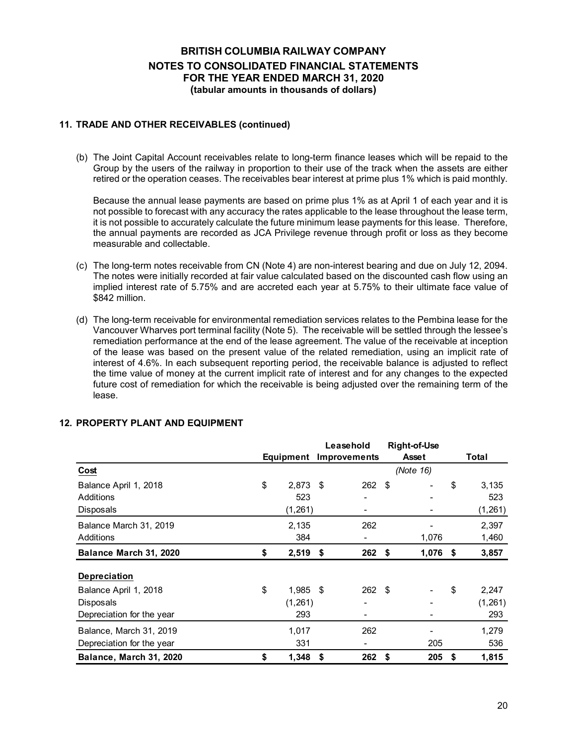#### **11. TRADE AND OTHER RECEIVABLES (continued)**

(b) The Joint Capital Account receivables relate to long-term finance leases which will be repaid to the Group by the users of the railway in proportion to their use of the track when the assets are either retired or the operation ceases. The receivables bear interest at prime plus 1% which is paid monthly.

Because the annual lease payments are based on prime plus 1% as at April 1 of each year and it is not possible to forecast with any accuracy the rates applicable to the lease throughout the lease term, it is not possible to accurately calculate the future minimum lease payments for this lease. Therefore, the annual payments are recorded as JCA Privilege revenue through profit or loss as they become measurable and collectable.

- (c) The long-term notes receivable from CN (Note 4) are non-interest bearing and due on July 12, 2094. The notes were initially recorded at fair value calculated based on the discounted cash flow using an implied interest rate of 5.75% and are accreted each year at 5.75% to their ultimate face value of \$842 million.
- (d) The long-term receivable for environmental remediation services relates to the Pembina lease for the Vancouver Wharves port terminal facility (Note 5). The receivable will be settled through the lessee's remediation performance at the end of the lease agreement. The value of the receivable at inception of the lease was based on the present value of the related remediation, using an implicit rate of interest of 4.6%. In each subsequent reporting period, the receivable balance is adjusted to reflect the time value of money at the current implicit rate of interest and for any changes to the expected future cost of remediation for which the receivable is being adjusted over the remaining term of the lease.

|                           |                  | Leasehold           |     | <b>Right-of-Use</b> |             |
|---------------------------|------------------|---------------------|-----|---------------------|-------------|
|                           | Equipment        | <b>Improvements</b> |     | Asset               | Total       |
| Cost                      |                  |                     |     | (Note 16)           |             |
| Balance April 1, 2018     | \$<br>2,873      | \$<br>262           | \$  |                     | \$<br>3,135 |
| <b>Additions</b>          | 523              |                     |     |                     | 523         |
| Disposals                 | (1, 261)         | -                   |     |                     | (1, 261)    |
| Balance March 31, 2019    | 2,135            | 262                 |     |                     | 2,397       |
| Additions                 | 384              |                     |     | 1,076               | 1,460       |
| Balance March 31, 2020    | \$<br>$2,519$ \$ | 262                 | \$  | 1,076               | \$<br>3,857 |
| <b>Depreciation</b>       |                  |                     |     |                     |             |
| Balance April 1, 2018     | \$<br>$1,985$ \$ | 262                 | -\$ |                     | \$<br>2,247 |
| Disposals                 | (1,261)          |                     |     |                     | (1, 261)    |
| Depreciation for the year | 293              |                     |     |                     | 293         |
| Balance, March 31, 2019   | 1,017            | 262                 |     |                     | 1,279       |
| Depreciation for the year | 331              |                     |     | 205                 | 536         |
| Balance, March 31, 2020   | \$<br>1,348      | \$<br>262           | \$  | 205                 | \$<br>1,815 |

#### **12. PROPERTY PLANT AND EQUIPMENT**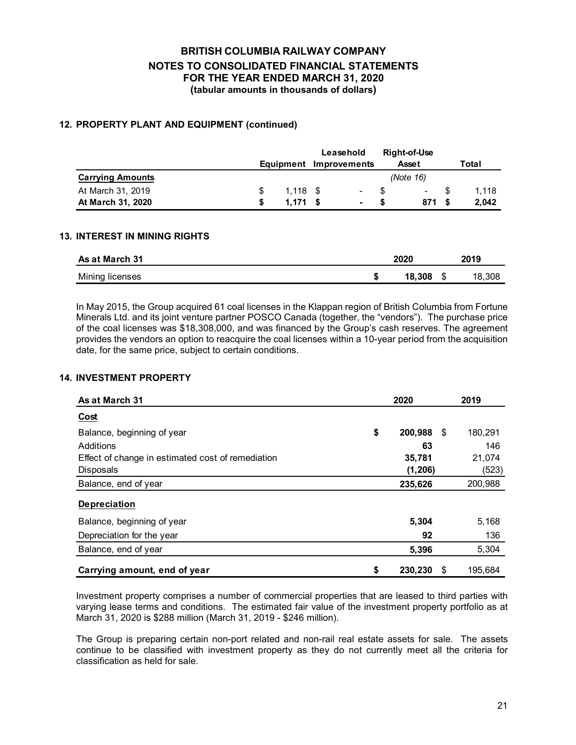#### **12. PROPERTY PLANT AND EQUIPMENT (continued)**

|                         |                                  |            |  | Leasehold      |    | Right-of-Use |     |       |  |
|-------------------------|----------------------------------|------------|--|----------------|----|--------------|-----|-------|--|
|                         | <b>Improvements</b><br>Equipment |            |  |                |    | <b>Asset</b> |     | Total |  |
| <b>Carrying Amounts</b> |                                  |            |  |                |    | (Note 16)    |     |       |  |
| At March 31, 2019       |                                  | $1.118$ \$ |  | $\sim$         | -8 | $\sim$       | -SS | 1.118 |  |
| At March 31, 2020       |                                  | 1.171 S    |  | $\blacksquare$ | £. | 871 \$       |     | 2.042 |  |

#### **13. INTEREST IN MINING RIGHTS**

| <b>As at March 31</b> |  | 2019   |        |
|-----------------------|--|--------|--------|
| Mining licenses       |  | 18.308 | 18,308 |

In May 2015, the Group acquired 61 coal licenses in the Klappan region of British Columbia from Fortune Minerals Ltd. and its joint venture partner POSCO Canada (together, the "vendors"). The purchase price of the coal licenses was \$18,308,000, and was financed by the Group's cash reserves. The agreement provides the vendors an option to reacquire the coal licenses within a 10-year period from the acquisition date, for the same price, subject to certain conditions.

#### **14. INVESTMENT PROPERTY**

| As at March 31                                    | 2020          |      | 2019    |
|---------------------------------------------------|---------------|------|---------|
| <b>Cost</b>                                       |               |      |         |
| Balance, beginning of year                        | \$<br>200,988 | - \$ | 180,291 |
| Additions                                         | 63            |      | 146     |
| Effect of change in estimated cost of remediation | 35,781        |      | 21,074  |
| <b>Disposals</b>                                  | (1, 206)      |      | (523)   |
| Balance, end of year                              | 235,626       |      | 200,988 |
| <b>Depreciation</b>                               |               |      |         |
| Balance, beginning of year                        | 5,304         |      | 5,168   |
| Depreciation for the year                         | 92            |      | 136     |
| Balance, end of year                              | 5,396         |      | 5,304   |
| Carrying amount, end of year                      | \$<br>230,230 | \$   | 195,684 |

Investment property comprises a number of commercial properties that are leased to third parties with varying lease terms and conditions. The estimated fair value of the investment property portfolio as at March 31, 2020 is \$288 million (March 31, 2019 - \$246 million).

The Group is preparing certain non-port related and non-rail real estate assets for sale. The assets continue to be classified with investment property as they do not currently meet all the criteria for classification as held for sale.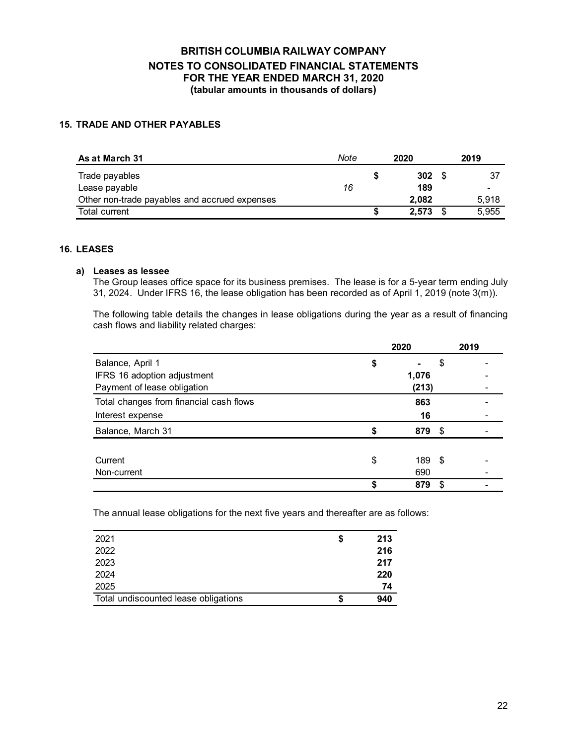### **15. TRADE AND OTHER PAYABLES**

| As at March 31                                | Note |   | 2020  | 2019 |       |  |
|-----------------------------------------------|------|---|-------|------|-------|--|
| Trade payables                                |      |   | 302   |      |       |  |
| Lease payable                                 | 16   |   | 189   |      |       |  |
| Other non-trade payables and accrued expenses |      |   | 2.082 |      | 5.918 |  |
| Total current                                 |      | ъ | 2.573 |      | 5,955 |  |

### **16. LEASES**

#### **a) Leases as lessee**

The Group leases office space for its business premises. The lease is for a 5-year term ending July 31, 2024. Under IFRS 16, the lease obligation has been recorded as of April 1, 2019 (note 3(m)).

The following table details the changes in lease obligations during the year as a result of financing cash flows and liability related charges:

|                                         | 2020              | 2019 |
|-----------------------------------------|-------------------|------|
| Balance, April 1                        | \$<br>\$          |      |
| IFRS 16 adoption adjustment             | 1,076             |      |
| Payment of lease obligation             | (213)             |      |
| Total changes from financial cash flows | 863               |      |
| Interest expense                        | 16                |      |
| Balance, March 31                       | 879 \$            |      |
|                                         |                   |      |
| Current                                 | \$<br>189<br>- \$ |      |
| Non-current                             | 690               |      |
|                                         | 879<br>\$         |      |

The annual lease obligations for the next five years and thereafter are as follows:

| 2021                                 | \$<br>213 |
|--------------------------------------|-----------|
| 2022                                 | 216       |
| 2023                                 | 217       |
| 2024                                 | 220       |
| 2025                                 | 74        |
| Total undiscounted lease obligations | 940       |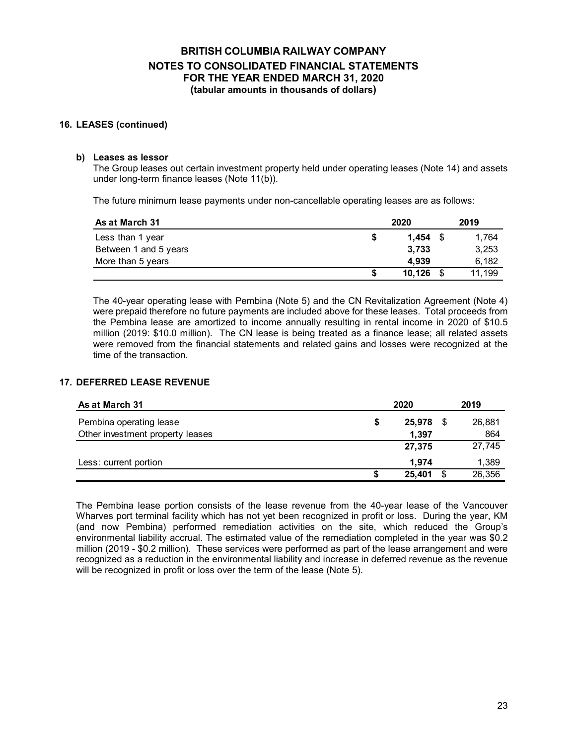#### **16. LEASES (continued)**

#### **b) Leases as lessor**

The Group leases out certain investment property held under operating leases (Note 14) and assets under long-term finance leases (Note 11(b)).

The future minimum lease payments under non-cancellable operating leases are as follows:

| As at March 31        |   | 2020       | 2019   |
|-----------------------|---|------------|--------|
| Less than 1 year      | S | $1.454$ \$ | 1.764  |
| Between 1 and 5 years |   | 3.733      | 3,253  |
| More than 5 years     |   | 4.939      | 6.182  |
|                       |   | 10,126     | 11.199 |

The 40-year operating lease with Pembina (Note 5) and the CN Revitalization Agreement (Note 4) were prepaid therefore no future payments are included above for these leases. Total proceeds from the Pembina lease are amortized to income annually resulting in rental income in 2020 of \$10.5 million (2019: \$10.0 million). The CN lease is being treated as a finance lease; all related assets were removed from the financial statements and related gains and losses were recognized at the time of the transaction.

#### **17. DEFERRED LEASE REVENUE**

| As at March 31                   |    | 2020   |    | 2019   |
|----------------------------------|----|--------|----|--------|
| Pembina operating lease          | \$ | 25,978 | S  | 26,881 |
| Other investment property leases |    | 1.397  |    | 864    |
|                                  |    | 27.375 |    | 27,745 |
| Less: current portion            |    | 1.974  |    | 1,389  |
|                                  | S  | 25,401 | \$ | 26,356 |

The Pembina lease portion consists of the lease revenue from the 40-year lease of the Vancouver Wharves port terminal facility which has not yet been recognized in profit or loss. During the year, KM (and now Pembina) performed remediation activities on the site, which reduced the Group's environmental liability accrual. The estimated value of the remediation completed in the year was \$0.2 million (2019 - \$0.2 million). These services were performed as part of the lease arrangement and were recognized as a reduction in the environmental liability and increase in deferred revenue as the revenue will be recognized in profit or loss over the term of the lease (Note 5).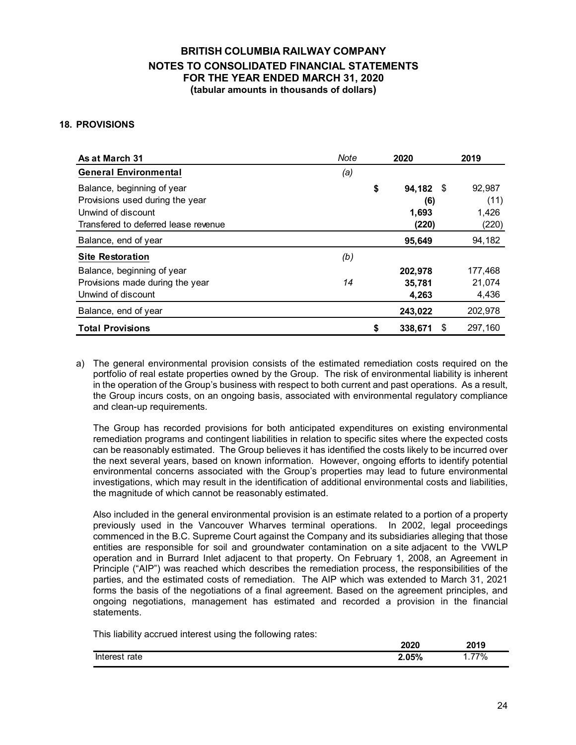#### **18. PROVISIONS**

| As at March 31                                                                                                              | Note | 2020                                     | 2019                             |
|-----------------------------------------------------------------------------------------------------------------------------|------|------------------------------------------|----------------------------------|
| <b>General Environmental</b>                                                                                                | (a)  |                                          |                                  |
| Balance, beginning of year<br>Provisions used during the year<br>Unwind of discount<br>Transfered to deferred lease revenue |      | \$<br>94,182 \$<br>(6)<br>1,693<br>(220) | 92,987<br>(11)<br>1,426<br>(220) |
| Balance, end of year                                                                                                        |      | 95,649                                   | 94,182                           |
| <b>Site Restoration</b>                                                                                                     | (b)  |                                          |                                  |
| Balance, beginning of year<br>Provisions made during the year<br>Unwind of discount                                         | 14   | 202,978<br>35,781<br>4,263               | 177,468<br>21,074<br>4,436       |
| Balance, end of year                                                                                                        |      | 243,022                                  | 202,978                          |
| <b>Total Provisions</b>                                                                                                     |      | \$<br>338,671<br>S                       | 297,160                          |

a) The general environmental provision consists of the estimated remediation costs required on the portfolio of real estate properties owned by the Group. The risk of environmental liability is inherent in the operation of the Group's business with respect to both current and past operations. As a result, the Group incurs costs, on an ongoing basis, associated with environmental regulatory compliance and clean-up requirements.

The Group has recorded provisions for both anticipated expenditures on existing environmental remediation programs and contingent liabilities in relation to specific sites where the expected costs can be reasonably estimated. The Group believes it has identified the costs likely to be incurred over the next several years, based on known information. However, ongoing efforts to identify potential environmental concerns associated with the Group's properties may lead to future environmental investigations, which may result in the identification of additional environmental costs and liabilities, the magnitude of which cannot be reasonably estimated.

Also included in the general environmental provision is an estimate related to a portion of a property previously used in the Vancouver Wharves terminal operations. In 2002, legal proceedings commenced in the B.C. Supreme Court against the Company and its subsidiaries alleging that those entities are responsible for soil and groundwater contamination on a site adjacent to the VWLP operation and in Burrard Inlet adjacent to that property. On February 1, 2008, an Agreement in Principle ("AIP") was reached which describes the remediation process, the responsibilities of the parties, and the estimated costs of remediation. The AIP which was extended to March 31, 2021 forms the basis of the negotiations of a final agreement. Based on the agreement principles, and ongoing negotiations, management has estimated and recorded a provision in the financial statements.

This liability accrued interest using the following rates:

|               | 2020  | 2019                                |
|---------------|-------|-------------------------------------|
| Interest rate | 2.05% | 77%<br>.<br>$\cdot$ $\cdot$ $\cdot$ |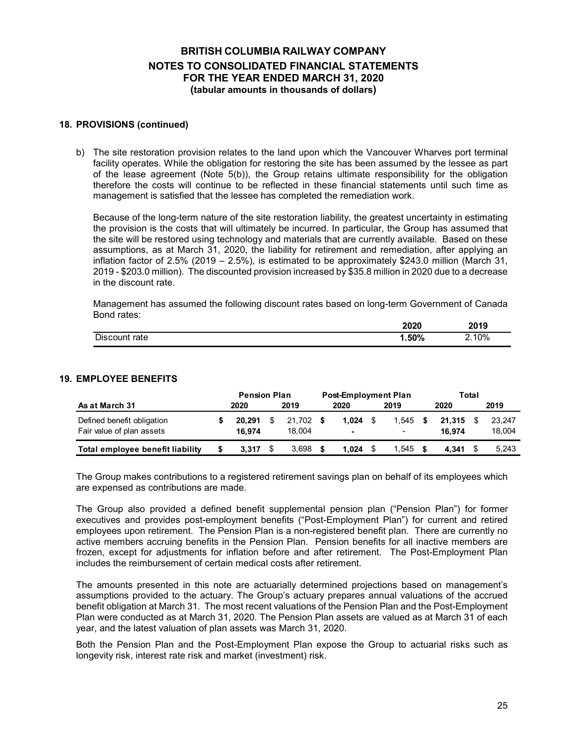#### **18. PROVISIONS (continued)**

b) The site restoration provision relates to the land upon which the Vancouver Wharves port terminal facility operates. While the obligation for restoring the site has been assumed by the lessee as part of the lease agreement (Note 5(b)), the Group retains ultimate responsibility for the obligation therefore the costs will continue to be reflected in these financial statements until such time as management is satisfied that the lessee has completed the remediation work.

Because of the long-term nature of the site restoration liability, the greatest uncertainty in estimating the provision is the costs that will ultimately be incurred. In particular, the Group has assumed that the site will be restored using technology and materials that are currently available. Based on these assumptions, as at March 31, 2020, the liability for retirement and remediation, after applying an inflation factor of 2.5% (2019 – 2.5%), is estimated to be approximately \$243.0 million (March 31, 2019 - \$203.0 million). The discounted provision increased by \$35.8 million in 2020 due to a decrease in the discount rate.

Management has assumed the following discount rates based on long-term Government of Canada Bond rates:

|               | 2020    | 2010<br>20 I J |
|---------------|---------|----------------|
| Discount rate | $.50\%$ | 10%            |

#### **19. EMPLOYEE BENEFITS**

|                                                         |   | <b>Pension Plan</b> |   |                  | <b>Post-Employment Plan</b> |                         |  |                                   |  |                  | Total |                  |  |      |  |
|---------------------------------------------------------|---|---------------------|---|------------------|-----------------------------|-------------------------|--|-----------------------------------|--|------------------|-------|------------------|--|------|--|
| As at March 31                                          |   | 2019<br>2020        |   |                  |                             | 2020<br>2019            |  |                                   |  |                  |       | 2020             |  | 2019 |  |
| Defined benefit obligation<br>Fair value of plan assets |   | 20.291<br>16.974    | S | 21.702<br>18.004 | - \$                        | 1.024<br>$\blacksquare$ |  | 1.545<br>$\overline{\phantom{0}}$ |  | 21.315<br>16.974 |       | 23.247<br>18,004 |  |      |  |
| Total employee benefit liability                        | S | 3.317               |   | 3.698            |                             | 1.024                   |  | .545                              |  | 4.341            |       | 5.243            |  |      |  |

The Group makes contributions to a registered retirement savings plan on behalf of its employees which are expensed as contributions are made.

The Group also provided a defined benefit supplemental pension plan ("Pension Plan") for former executives and provides post-employment benefits ("Post-Employment Plan") for current and retired employees upon retirement. The Pension Plan is a non-registered benefit plan. There are currently no active members accruing benefits in the Pension Plan. Pension benefits for all inactive members are frozen, except for adjustments for inflation before and after retirement. The Post-Employment Plan includes the reimbursement of certain medical costs after retirement.

The amounts presented in this note are actuarially determined projections based on management's assumptions provided to the actuary. The Group's actuary prepares annual valuations of the accrued benefit obligation at March 31. The most recent valuations of the Pension Plan and the Post-Employment Plan were conducted as at March 31, 2020. The Pension Plan assets are valued as at March 31 of each year, and the latest valuation of plan assets was March 31, 2020.

Both the Pension Plan and the Post-Employment Plan expose the Group to actuarial risks such as longevity risk, interest rate risk and market (investment) risk.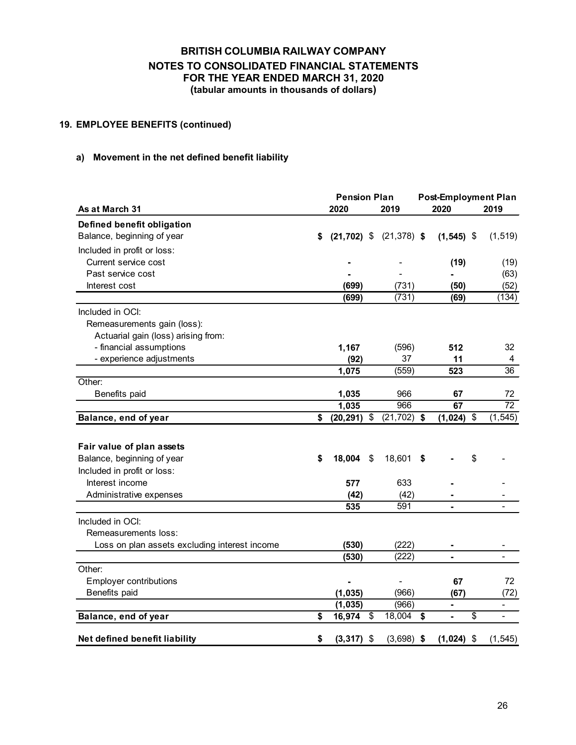### **19. EMPLOYEE BENEFITS (continued)**

### **a) Movement in the net defined benefit liability**

| <b>Pension Plan</b>                           |    |              |    |                             | <b>Post-Employment Plan</b> |                |                          |  |  |
|-----------------------------------------------|----|--------------|----|-----------------------------|-----------------------------|----------------|--------------------------|--|--|
| As at March 31                                |    | 2020<br>2019 |    |                             |                             | 2020           | 2019                     |  |  |
| Defined benefit obligation                    |    |              |    |                             |                             |                |                          |  |  |
| Balance, beginning of year                    | S  |              |    | $(21,702)$ \$ $(21,378)$ \$ |                             | $(1, 545)$ \$  | (1, 519)                 |  |  |
| Included in profit or loss:                   |    |              |    |                             |                             |                |                          |  |  |
| Current service cost                          |    |              |    |                             |                             | (19)           | (19)                     |  |  |
| Past service cost                             |    |              |    |                             |                             |                | (63)                     |  |  |
| Interest cost                                 |    | (699)        |    | (731)                       |                             | (50)           | (52)                     |  |  |
|                                               |    | (699)        |    | (731)                       |                             | (69)           | (134)                    |  |  |
| Included in OCI:                              |    |              |    |                             |                             |                |                          |  |  |
| Remeasurements gain (loss):                   |    |              |    |                             |                             |                |                          |  |  |
| Actuarial gain (loss) arising from:           |    |              |    |                             |                             |                |                          |  |  |
| - financial assumptions                       |    | 1,167        |    | (596)                       |                             | 512            | 32                       |  |  |
| - experience adjustments                      |    | (92)         |    | 37                          |                             | 11             | 4                        |  |  |
|                                               |    | 1,075        |    | (559)                       |                             | 523            | 36                       |  |  |
| Other:                                        |    |              |    |                             |                             |                |                          |  |  |
| Benefits paid                                 |    | 1,035        |    | 966                         |                             | 67             | 72                       |  |  |
|                                               |    | 1,035        |    | 966                         |                             | 67             | 72                       |  |  |
| Balance, end of year                          | \$ | (20, 291)    | \$ | (21, 702)                   | \$                          | (1, 024)<br>\$ | (1, 545)                 |  |  |
|                                               |    |              |    |                             |                             |                |                          |  |  |
| Fair value of plan assets                     |    |              |    |                             |                             |                |                          |  |  |
| Balance, beginning of year                    | \$ | 18,004       | \$ | 18,601                      | \$                          | \$             |                          |  |  |
| Included in profit or loss:                   |    |              |    |                             |                             |                |                          |  |  |
| Interest income                               |    | 577          |    | 633                         |                             |                |                          |  |  |
| Administrative expenses                       |    | (42)         |    | (42)                        |                             |                |                          |  |  |
|                                               |    | 535          |    | 591                         |                             |                |                          |  |  |
| Included in OCI:                              |    |              |    |                             |                             |                |                          |  |  |
| Remeasurements loss:                          |    |              |    |                             |                             |                |                          |  |  |
| Loss on plan assets excluding interest income |    | (530)        |    | (222)                       |                             | $\blacksquare$ |                          |  |  |
|                                               |    | (530)        |    | (222)                       |                             |                |                          |  |  |
| Other:                                        |    |              |    |                             |                             |                |                          |  |  |
| <b>Employer contributions</b>                 |    |              |    |                             |                             | 67             | 72                       |  |  |
| Benefits paid                                 |    | (1, 035)     |    | (966)                       |                             | (67)           | (72)                     |  |  |
|                                               |    | (1,035)      |    | (966)                       |                             | ۰              | $\overline{\phantom{0}}$ |  |  |
| Balance, end of year                          | \$ | 16,974       | \$ | 18,004                      | \$                          | \$<br>÷,       | $\overline{\phantom{a}}$ |  |  |
| Net defined benefit liability                 | \$ | (3, 317)     | \$ | $(3,698)$ \$                |                             | $(1,024)$ \$   | (1, 545)                 |  |  |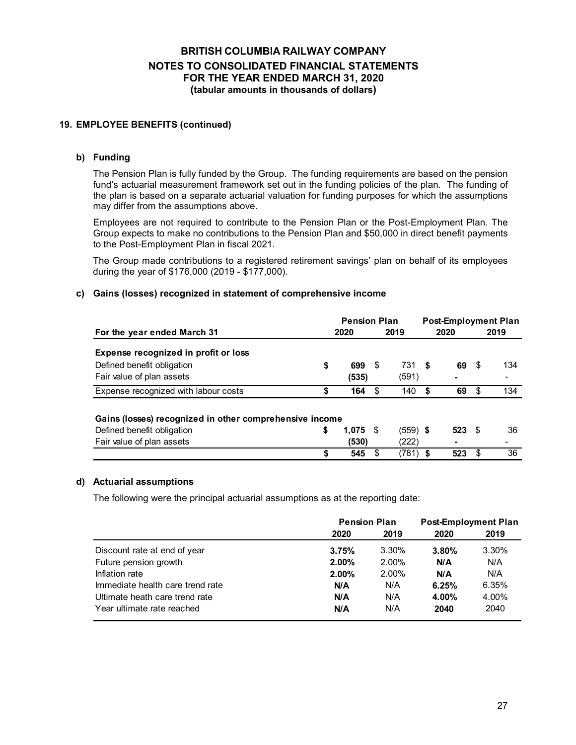### **19. EMPLOYEE BENEFITS (continued)**

#### **b) Funding**

The Pension Plan is fully funded by the Group. The funding requirements are based on the pension fund's actuarial measurement framework set out in the funding policies of the plan. The funding of the plan is based on a separate actuarial valuation for funding purposes for which the assumptions may differ from the assumptions above.

Employees are not required to contribute to the Pension Plan or the Post-Employment Plan. The Group expects to make no contributions to the Pension Plan and \$50,000 in direct benefit payments to the Post-Employment Plan in fiscal 2021.

The Group made contributions to a registered retirement savings' plan on behalf of its employees during the year of \$176,000 (2019 - \$177,000).

#### **c) Gains (losses) recognized in statement of comprehensive income**

|                                                         |    | <b>Pension Plan</b> |     |            |      | <b>Post-Employment Plan</b> |    |      |  |
|---------------------------------------------------------|----|---------------------|-----|------------|------|-----------------------------|----|------|--|
| For the year ended March 31                             |    | 2020                |     | 2019       | 2020 |                             |    | 2019 |  |
| Expense recognized in profit or loss                    |    |                     |     |            |      |                             |    |      |  |
| Defined benefit obligation                              | \$ | 699                 | S   | 731 \$     |      | 69                          | \$ | 134  |  |
| Fair value of plan assets                               |    | (535)               |     | (591)      |      |                             |    |      |  |
| Expense recognized with labour costs                    | \$ | 164                 | \$. | 140        | S    | 69                          | S  | 134  |  |
|                                                         |    |                     |     |            |      |                             |    |      |  |
| Gains (losses) recognized in other comprehensive income |    |                     |     |            |      |                             |    |      |  |
| Defined benefit obligation                              | \$ | $1,075$ \$          |     | $(559)$ \$ |      | $523$ \$                    |    | 36   |  |
| Fair value of plan assets                               |    | (530)               |     | (222)      |      | -                           |    |      |  |
|                                                         | \$ | 545                 |     | (781)      | S    | 523                         |    | 36   |  |

#### **d) Actuarial assumptions**

The following were the principal actuarial assumptions as at the reporting date:

|                                  | <b>Pension Plan</b> | <b>Post-Employment Plan</b> |          |       |  |
|----------------------------------|---------------------|-----------------------------|----------|-------|--|
|                                  | 2020                | 2019                        | 2020     | 2019  |  |
| Discount rate at end of year     | 3.75%               | 3.30%                       | $3.80\%$ | 3.30% |  |
| Future pension growth            | $2.00\%$            | 2.00%                       | N/A      | N/A   |  |
| Inflation rate                   | 2.00%               | 2.00%                       | N/A      | N/A   |  |
| Immediate health care trend rate | N/A                 | N/A                         | 6.25%    | 6.35% |  |
| Ultimate heath care trend rate   | N/A                 | N/A                         | 4.00%    | 4.00% |  |
| Year ultimate rate reached       | N/A                 | N/A                         | 2040     | 2040  |  |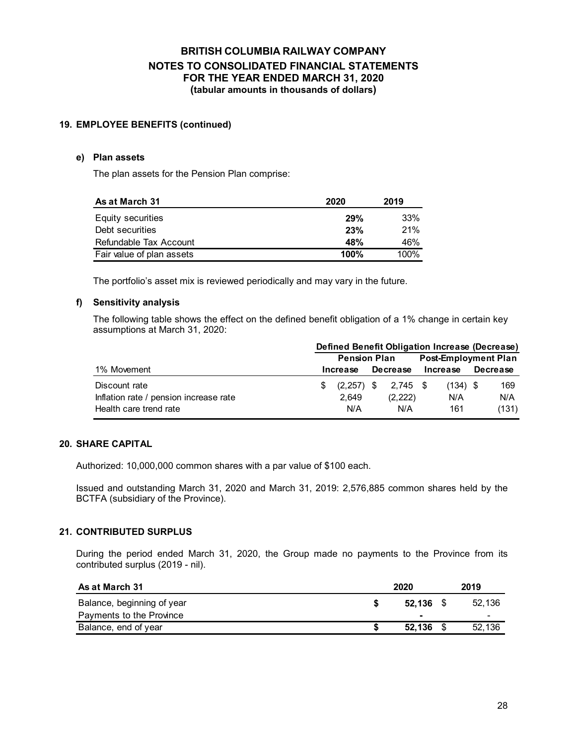#### **19. EMPLOYEE BENEFITS (continued)**

#### **e) Plan assets**

The plan assets for the Pension Plan comprise:

| As at March 31            | 2020 | 2019    |
|---------------------------|------|---------|
| Equity securities         | 29%  | 33%     |
| Debt securities           | 23%  | 21%     |
| Refundable Tax Account    | 48%  | 46%     |
| Fair value of plan assets | 100% | $100\%$ |

The portfolio's asset mix is reviewed periodically and may vary in the future.

#### **f) Sensitivity analysis**

The following table shows the effect on the defined benefit obligation of a 1% change in certain key assumptions at March 31, 2020:

|                                        | Defined Benefit Obligation Increase (Decrease) |                     |  |                 |  |                             |  |                 |  |
|----------------------------------------|------------------------------------------------|---------------------|--|-----------------|--|-----------------------------|--|-----------------|--|
|                                        |                                                | <b>Pension Plan</b> |  |                 |  | <b>Post-Employment Plan</b> |  |                 |  |
| 1% Movement                            |                                                | Increase            |  | <b>Decrease</b> |  | Increase                    |  | <b>Decrease</b> |  |
| Discount rate                          |                                                | $(2,257)$ \$        |  | 2,745 \$        |  | $(134)$ \$                  |  | 169             |  |
| Inflation rate / pension increase rate |                                                | 2.649               |  | (2,222)         |  | N/A                         |  | N/A             |  |
| Health care trend rate                 |                                                | N/A                 |  | N/A             |  | 161                         |  | (131)           |  |

#### **20. SHARE CAPITAL**

Authorized: 10,000,000 common shares with a par value of \$100 each.

Issued and outstanding March 31, 2020 and March 31, 2019: 2,576,885 common shares held by the BCTFA (subsidiary of the Province).

#### **21. CONTRIBUTED SURPLUS**

During the period ended March 31, 2020, the Group made no payments to the Province from its contributed surplus (2019 - nil).

| As at March 31             | 2020        | 2019   |
|----------------------------|-------------|--------|
| Balance, beginning of year | $52.136$ \$ | 52.136 |
| Payments to the Province   |             | -      |
| Balance, end of year       | 52.136      | 52,136 |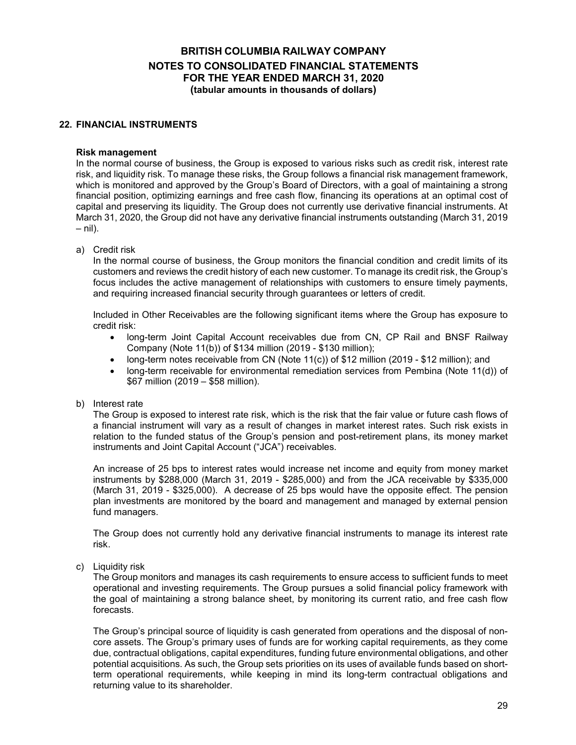#### **22. FINANCIAL INSTRUMENTS**

#### **Risk management**

In the normal course of business, the Group is exposed to various risks such as credit risk, interest rate risk, and liquidity risk. To manage these risks, the Group follows a financial risk management framework, which is monitored and approved by the Group's Board of Directors, with a goal of maintaining a strong financial position, optimizing earnings and free cash flow, financing its operations at an optimal cost of capital and preserving its liquidity. The Group does not currently use derivative financial instruments. At March 31, 2020, the Group did not have any derivative financial instruments outstanding (March 31, 2019  $-$  nil).

a) Credit risk

In the normal course of business, the Group monitors the financial condition and credit limits of its customers and reviews the credit history of each new customer. To manage its credit risk, the Group's focus includes the active management of relationships with customers to ensure timely payments, and requiring increased financial security through guarantees or letters of credit.

Included in Other Receivables are the following significant items where the Group has exposure to credit risk:

- long-term Joint Capital Account receivables due from CN, CP Rail and BNSF Railway Company (Note 11(b)) of \$134 million (2019 - \$130 million);
- long-term notes receivable from CN (Note 11(c)) of \$12 million (2019 \$12 million); and
- long-term receivable for environmental remediation services from Pembina (Note 11(d)) of \$67 million (2019 – \$58 million).
- b) Interest rate

The Group is exposed to interest rate risk, which is the risk that the fair value or future cash flows of a financial instrument will vary as a result of changes in market interest rates. Such risk exists in relation to the funded status of the Group's pension and post-retirement plans, its money market instruments and Joint Capital Account ("JCA") receivables.

An increase of 25 bps to interest rates would increase net income and equity from money market instruments by \$288,000 (March 31, 2019 - \$285,000) and from the JCA receivable by \$335,000 (March 31, 2019 - \$325,000). A decrease of 25 bps would have the opposite effect. The pension plan investments are monitored by the board and management and managed by external pension fund managers.

The Group does not currently hold any derivative financial instruments to manage its interest rate risk.

c) Liquidity risk

The Group monitors and manages its cash requirements to ensure access to sufficient funds to meet operational and investing requirements. The Group pursues a solid financial policy framework with the goal of maintaining a strong balance sheet, by monitoring its current ratio, and free cash flow forecasts.

The Group's principal source of liquidity is cash generated from operations and the disposal of noncore assets. The Group's primary uses of funds are for working capital requirements, as they come due, contractual obligations, capital expenditures, funding future environmental obligations, and other potential acquisitions. As such, the Group sets priorities on its uses of available funds based on shortterm operational requirements, while keeping in mind its long-term contractual obligations and returning value to its shareholder.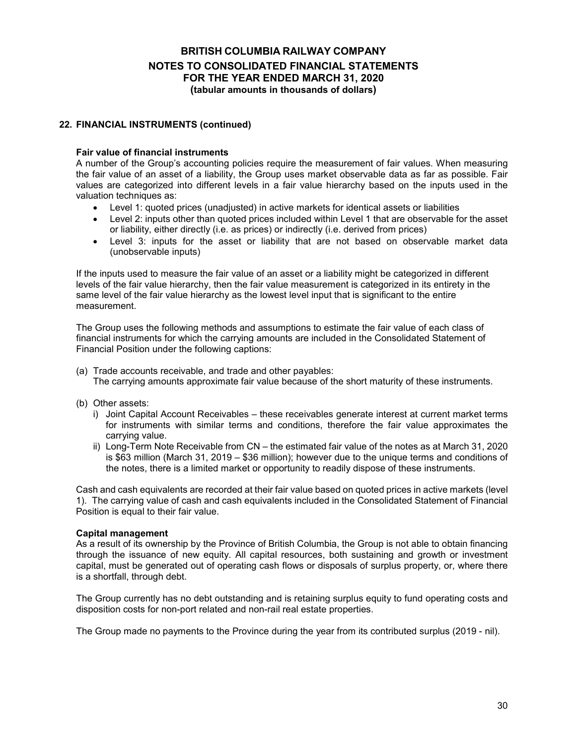#### **22. FINANCIAL INSTRUMENTS (continued)**

#### **Fair value of financial instruments**

A number of the Group's accounting policies require the measurement of fair values. When measuring the fair value of an asset of a liability, the Group uses market observable data as far as possible. Fair values are categorized into different levels in a fair value hierarchy based on the inputs used in the valuation techniques as:

- Level 1: quoted prices (unadjusted) in active markets for identical assets or liabilities
- Level 2: inputs other than quoted prices included within Level 1 that are observable for the asset or liability, either directly (i.e. as prices) or indirectly (i.e. derived from prices)
- Level 3: inputs for the asset or liability that are not based on observable market data (unobservable inputs)

If the inputs used to measure the fair value of an asset or a liability might be categorized in different levels of the fair value hierarchy, then the fair value measurement is categorized in its entirety in the same level of the fair value hierarchy as the lowest level input that is significant to the entire measurement.

The Group uses the following methods and assumptions to estimate the fair value of each class of financial instruments for which the carrying amounts are included in the Consolidated Statement of Financial Position under the following captions:

- (a) Trade accounts receivable, and trade and other payables: The carrying amounts approximate fair value because of the short maturity of these instruments.
- (b) Other assets:
	- i) Joint Capital Account Receivables these receivables generate interest at current market terms for instruments with similar terms and conditions, therefore the fair value approximates the carrying value.
	- ii) Long-Term Note Receivable from CN the estimated fair value of the notes as at March 31, 2020 is \$63 million (March 31, 2019 – \$36 million); however due to the unique terms and conditions of the notes, there is a limited market or opportunity to readily dispose of these instruments.

Cash and cash equivalents are recorded at their fair value based on quoted prices in active markets (level 1). The carrying value of cash and cash equivalents included in the Consolidated Statement of Financial Position is equal to their fair value.

#### **Capital management**

As a result of its ownership by the Province of British Columbia, the Group is not able to obtain financing through the issuance of new equity. All capital resources, both sustaining and growth or investment capital, must be generated out of operating cash flows or disposals of surplus property, or, where there is a shortfall, through debt.

The Group currently has no debt outstanding and is retaining surplus equity to fund operating costs and disposition costs for non-port related and non-rail real estate properties.

The Group made no payments to the Province during the year from its contributed surplus (2019 - nil).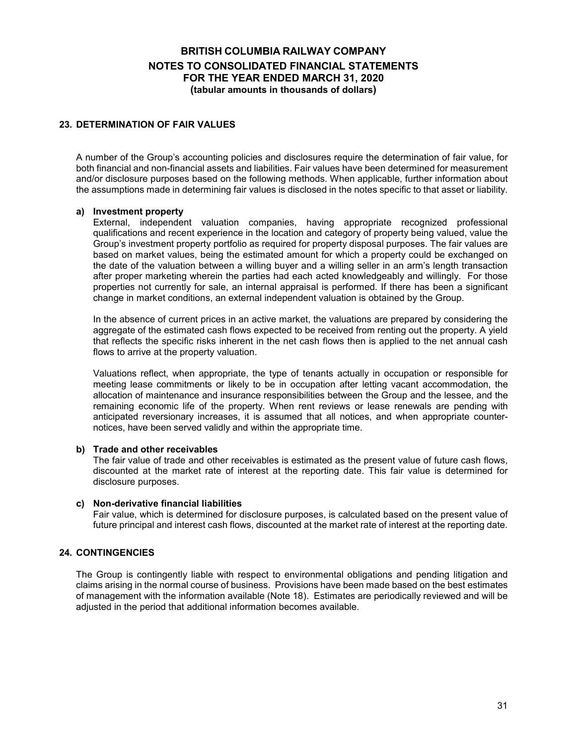#### **23. DETERMINATION OF FAIR VALUES**

A number of the Group's accounting policies and disclosures require the determination of fair value, for both financial and non-financial assets and liabilities. Fair values have been determined for measurement and/or disclosure purposes based on the following methods. When applicable, further information about the assumptions made in determining fair values is disclosed in the notes specific to that asset or liability.

#### **a) Investment property**

External, independent valuation companies, having appropriate recognized professional qualifications and recent experience in the location and category of property being valued, value the Group's investment property portfolio as required for property disposal purposes. The fair values are based on market values, being the estimated amount for which a property could be exchanged on the date of the valuation between a willing buyer and a willing seller in an arm's length transaction after proper marketing wherein the parties had each acted knowledgeably and willingly. For those properties not currently for sale, an internal appraisal is performed. If there has been a significant change in market conditions, an external independent valuation is obtained by the Group.

In the absence of current prices in an active market, the valuations are prepared by considering the aggregate of the estimated cash flows expected to be received from renting out the property. A yield that reflects the specific risks inherent in the net cash flows then is applied to the net annual cash flows to arrive at the property valuation.

Valuations reflect, when appropriate, the type of tenants actually in occupation or responsible for meeting lease commitments or likely to be in occupation after letting vacant accommodation, the allocation of maintenance and insurance responsibilities between the Group and the lessee, and the remaining economic life of the property. When rent reviews or lease renewals are pending with anticipated reversionary increases, it is assumed that all notices, and when appropriate counternotices, have been served validly and within the appropriate time.

#### **b) Trade and other receivables**

The fair value of trade and other receivables is estimated as the present value of future cash flows, discounted at the market rate of interest at the reporting date. This fair value is determined for disclosure purposes.

#### **c) Non-derivative financial liabilities**

Fair value, which is determined for disclosure purposes, is calculated based on the present value of future principal and interest cash flows, discounted at the market rate of interest at the reporting date.

#### **24. CONTINGENCIES**

The Group is contingently liable with respect to environmental obligations and pending litigation and claims arising in the normal course of business. Provisions have been made based on the best estimates of management with the information available (Note 18). Estimates are periodically reviewed and will be adjusted in the period that additional information becomes available.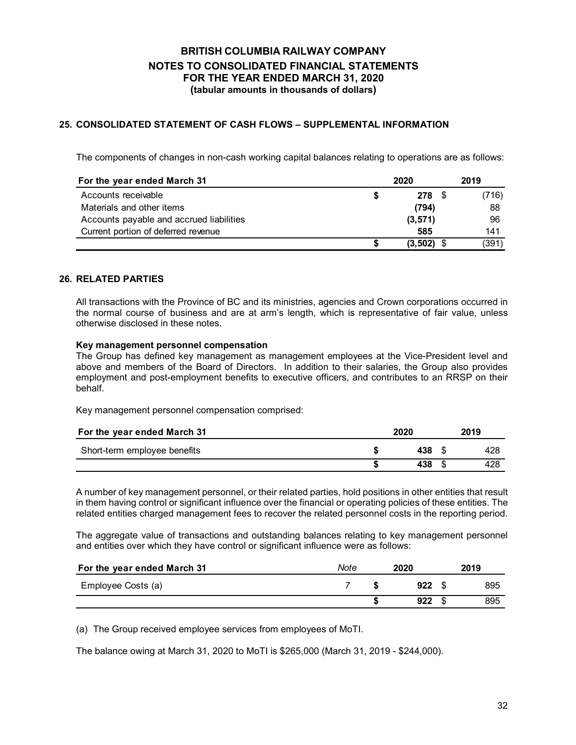### **25. CONSOLIDATED STATEMENT OF CASH FLOWS – SUPPLEMENTAL INFORMATION**

The components of changes in non-cash working capital balances relating to operations are as follows:

| For the year ended March 31              | 2020     | 2019  |
|------------------------------------------|----------|-------|
| Accounts receivable                      | 278 \$   | (716) |
| Materials and other items                | (794)    | 88    |
| Accounts payable and accrued liabilities | (3, 571) | 96    |
| Current portion of deferred revenue      | 585      | 141   |
|                                          | (3, 502) | (391) |

#### **26. RELATED PARTIES**

All transactions with the Province of BC and its ministries, agencies and Crown corporations occurred in the normal course of business and are at arm's length, which is representative of fair value, unless otherwise disclosed in these notes.

#### **Key management personnel compensation**

The Group has defined key management as management employees at the Vice-President level and above and members of the Board of Directors. In addition to their salaries, the Group also provides employment and post-employment benefits to executive officers, and contributes to an RRSP on their behalf.

Key management personnel compensation comprised:

| For the year ended March 31  | 2020   | 2019 |
|------------------------------|--------|------|
| Short-term employee benefits | 438 \$ | 428  |
|                              | 438    | 428  |

A number of key management personnel, or their related parties, hold positions in other entities that result in them having control or significant influence over the financial or operating policies of these entities. The related entities charged management fees to recover the related personnel costs in the reporting period.

The aggregate value of transactions and outstanding balances relating to key management personnel and entities over which they have control or significant influence were as follows:

| For the year ended March 31 | Note | 2020  | 2019 |
|-----------------------------|------|-------|------|
| Employee Costs (a)          |      | 922 S | 895  |
|                             |      | 922   | 895  |

(a) The Group received employee services from employees of MoTI.

The balance owing at March 31, 2020 to MoTI is \$265,000 (March 31, 2019 - \$244,000).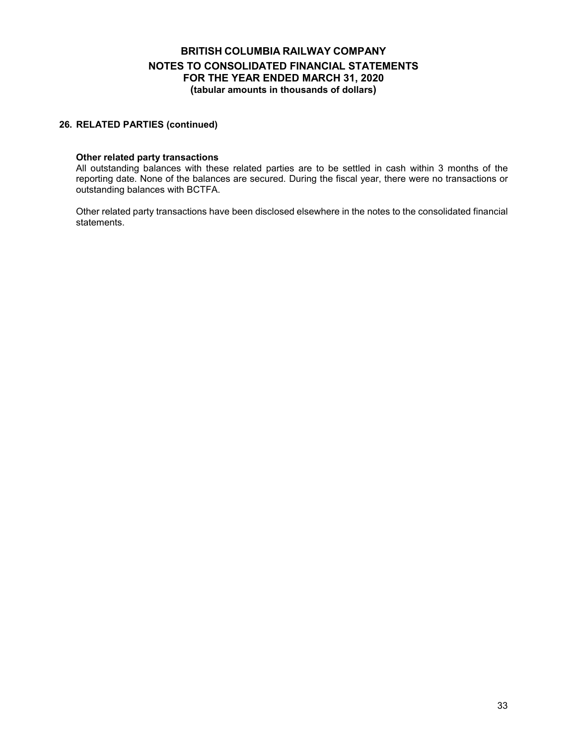#### **26. RELATED PARTIES (continued)**

#### **Other related party transactions**

All outstanding balances with these related parties are to be settled in cash within 3 months of the reporting date. None of the balances are secured. During the fiscal year, there were no transactions or outstanding balances with BCTFA.

Other related party transactions have been disclosed elsewhere in the notes to the consolidated financial statements.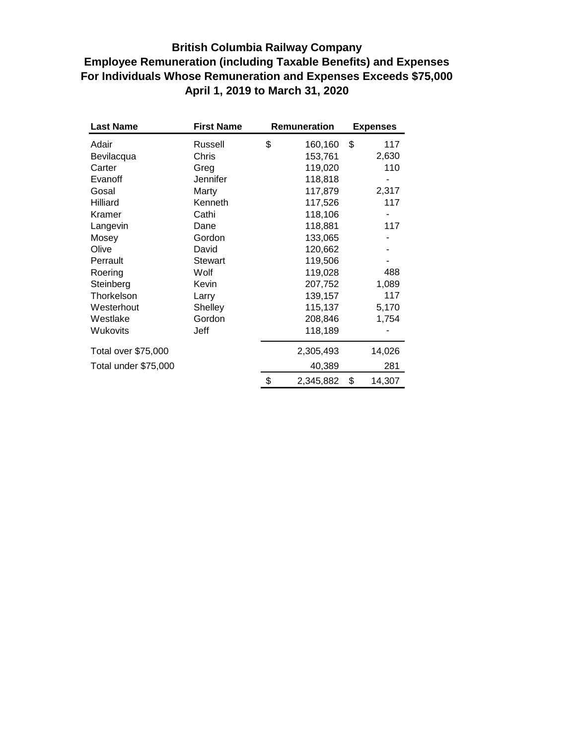## **British Columbia Railway Company Employee Remuneration (including Taxable Benefits) and Expenses For Individuals Whose Remuneration and Expenses Exceeds \$75,000 April 1, 2019 to March 31, 2020**

| <b>Last Name</b>     | <b>First Name</b> | <b>Remuneration</b> | <b>Expenses</b> |
|----------------------|-------------------|---------------------|-----------------|
| Adair                | Russell           | \$<br>160,160       | \$<br>117       |
| Bevilacqua           | Chris             | 153,761             | 2,630           |
| Carter               | Greg              | 119,020             | 110             |
| Evanoff              | Jennifer          | 118,818             |                 |
| Gosal                | Marty             | 117,879             | 2,317           |
| Hilliard             | Kenneth           | 117,526             | 117             |
| Kramer               | Cathi             | 118,106             |                 |
| Langevin             | Dane              | 118,881             | 117             |
| Mosey                | Gordon            | 133,065             |                 |
| Olive                | David             | 120,662             |                 |
| Perrault             | <b>Stewart</b>    | 119,506             |                 |
| Roering              | Wolf              | 119,028             | 488             |
| Steinberg            | Kevin             | 207,752             | 1,089           |
| Thorkelson           | Larry             | 139,157             | 117             |
| Westerhout           | Shelley           | 115,137             | 5,170           |
| Westlake             | Gordon            | 208,846             | 1,754           |
| Wukovits             | Jeff              | 118,189             |                 |
| Total over \$75,000  |                   | 2,305,493           | 14,026          |
| Total under \$75,000 |                   | 40,389              | 281             |
|                      |                   | \$<br>2,345,882     | \$<br>14,307    |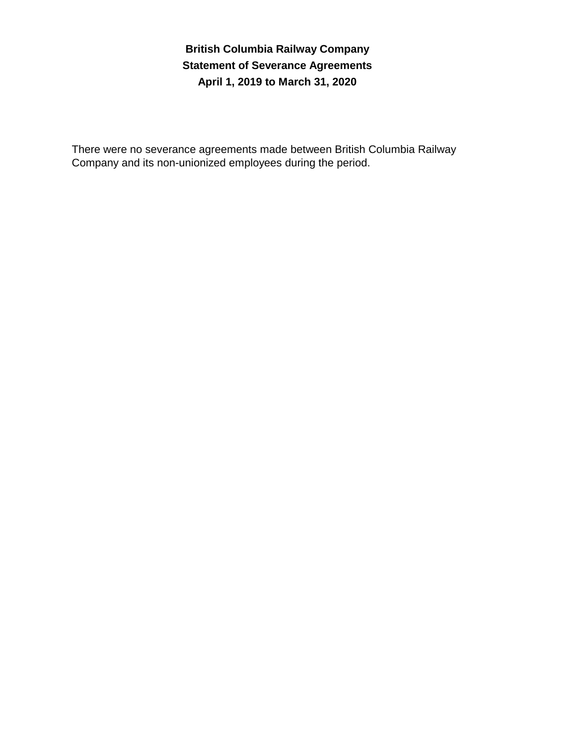**British Columbia Railway Company Statement of Severance Agreements April 1, 2019 to March 31, 2020**

There were no severance agreements made between British Columbia Railway Company and its non-unionized employees during the period.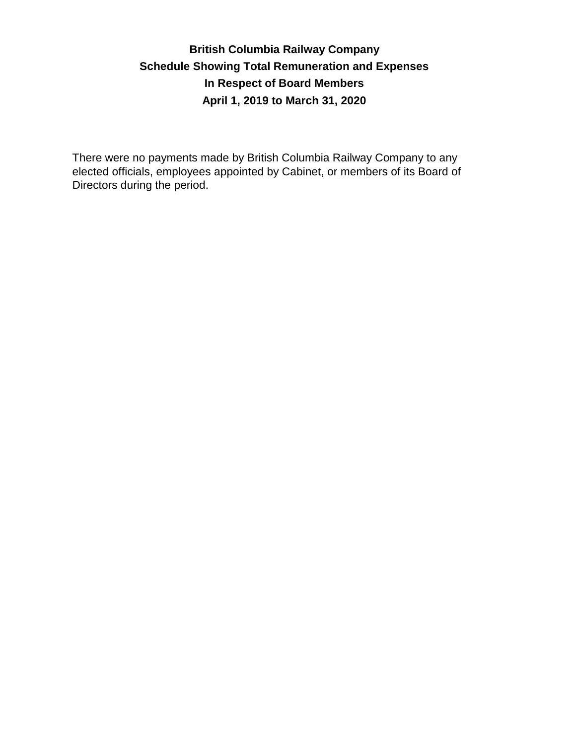# **British Columbia Railway Company Schedule Showing Total Remuneration and Expenses In Respect of Board Members April 1, 2019 to March 31, 2020**

There were no payments made by British Columbia Railway Company to any elected officials, employees appointed by Cabinet, or members of its Board of Directors during the period.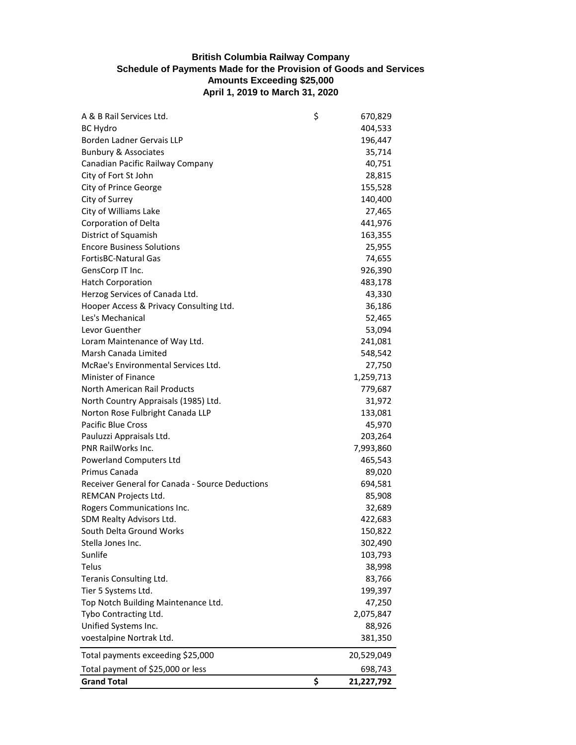### **British Columbia Railway Company Schedule of Payments Made for the Provision of Goods and Services Amounts Exceeding \$25,000 April 1, 2019 to March 31, 2020**

| A & B Rail Services Ltd.                        | \$<br>670,829    |
|-------------------------------------------------|------------------|
| <b>BC Hydro</b>                                 | 404,533          |
| Borden Ladner Gervais LLP                       | 196,447          |
| <b>Bunbury &amp; Associates</b>                 | 35,714           |
| Canadian Pacific Railway Company                | 40,751           |
| City of Fort St John                            | 28,815           |
| City of Prince George                           | 155,528          |
| City of Surrey                                  | 140,400          |
| City of Williams Lake                           | 27,465           |
| Corporation of Delta                            | 441,976          |
| District of Squamish                            | 163,355          |
| <b>Encore Business Solutions</b>                | 25,955           |
| <b>FortisBC-Natural Gas</b>                     | 74,655           |
| GensCorp IT Inc.                                | 926,390          |
| <b>Hatch Corporation</b>                        | 483,178          |
| Herzog Services of Canada Ltd.                  | 43,330           |
| Hooper Access & Privacy Consulting Ltd.         | 36,186           |
| Les's Mechanical                                | 52,465           |
| Levor Guenther                                  | 53,094           |
| Loram Maintenance of Way Ltd.                   | 241,081          |
| Marsh Canada Limited                            | 548,542          |
| McRae's Environmental Services Ltd.             | 27,750           |
| <b>Minister of Finance</b>                      | 1,259,713        |
| North American Rail Products                    | 779,687          |
| North Country Appraisals (1985) Ltd.            | 31,972           |
| Norton Rose Fulbright Canada LLP                | 133,081          |
| Pacific Blue Cross                              | 45,970           |
| Pauluzzi Appraisals Ltd.                        | 203,264          |
| PNR RailWorks Inc.                              | 7,993,860        |
| <b>Powerland Computers Ltd</b>                  | 465,543          |
| Primus Canada                                   | 89,020           |
| Receiver General for Canada - Source Deductions | 694,581          |
| REMCAN Projects Ltd.                            | 85,908           |
| Rogers Communications Inc.                      | 32,689           |
| SDM Realty Advisors Ltd.                        | 422,683          |
| South Delta Ground Works                        | 150,822          |
| Stella Jones Inc.                               | 302,490          |
| Sunlife                                         | 103,793          |
| Telus                                           | 38,998           |
| Teranis Consulting Ltd.                         | 83,766           |
| Tier 5 Systems Ltd.                             | 199,397          |
| Top Notch Building Maintenance Ltd.             | 47,250           |
| Tybo Contracting Ltd.                           | 2,075,847        |
| Unified Systems Inc.                            | 88,926           |
| voestalpine Nortrak Ltd.                        | 381,350          |
| Total payments exceeding \$25,000               | 20,529,049       |
| Total payment of \$25,000 or less               | 698,743          |
| <b>Grand Total</b>                              | \$<br>21,227,792 |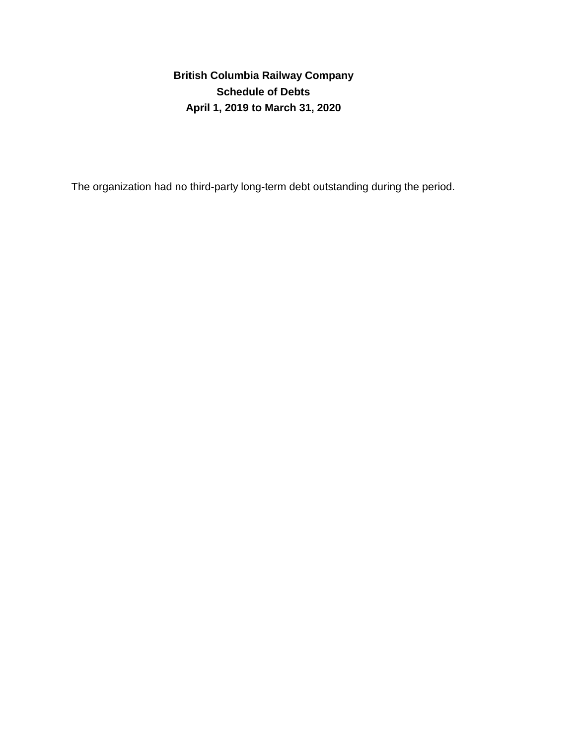**Schedule of Debts April 1, 2019 to March 31, 2020 British Columbia Railway Company**

The organization had no third-party long-term debt outstanding during the period.